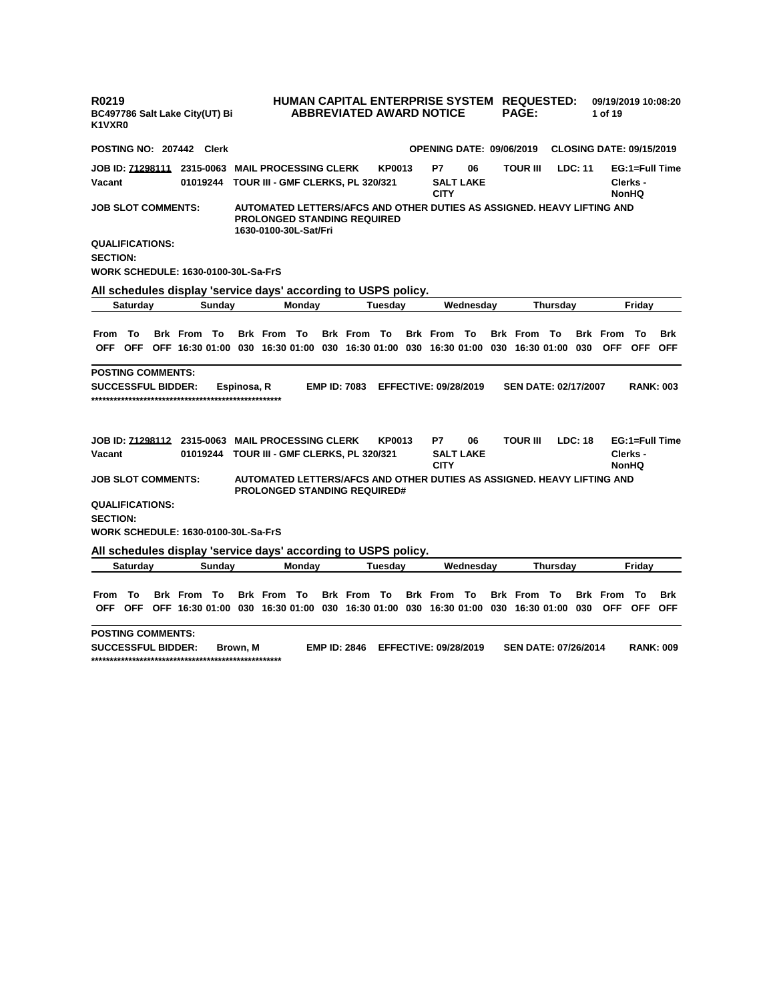| R0219<br>BC497786 Salt Lake City(UT) Bi<br>K1VXR0                                       |                 |                    |        |             |                                                                                                                                       |               |                     |               | HUMAN CAPITAL ENTERPRISE SYSTEM REQUESTED:<br><b>ABBREVIATED AWARD NOTICE</b> |                        | <b>PAGE:</b>                              |                 |         | 09/19/2019 10:08:20<br>1 of 19  |                          |                          |
|-----------------------------------------------------------------------------------------|-----------------|--------------------|--------|-------------|---------------------------------------------------------------------------------------------------------------------------------------|---------------|---------------------|---------------|-------------------------------------------------------------------------------|------------------------|-------------------------------------------|-----------------|---------|---------------------------------|--------------------------|--------------------------|
| POSTING NO: 207442 Clerk                                                                |                 |                    |        |             |                                                                                                                                       |               |                     |               | <b>OPENING DATE: 09/06/2019</b>                                               |                        |                                           |                 |         | <b>CLOSING DATE: 09/15/2019</b> |                          |                          |
| Vacant                                                                                  |                 | 01019244           |        |             | TOUR III - GMF CLERKS, PL 320/321                                                                                                     |               |                     | <b>KP0013</b> | P7<br><b>CITY</b>                                                             | 06<br><b>SALT LAKE</b> | <b>TOUR III</b>                           |                 | LDC: 11 |                                 | Clerks -<br><b>NonHQ</b> | EG:1=Full Time           |
| <b>JOB SLOT COMMENTS:</b>                                                               |                 |                    |        |             | AUTOMATED LETTERS/AFCS AND OTHER DUTIES AS ASSIGNED. HEAVY LIFTING AND<br><b>PROLONGED STANDING REQUIRED</b><br>1630-0100-30L-Sat/Fri |               |                     |               |                                                                               |                        |                                           |                 |         |                                 |                          |                          |
| <b>QUALIFICATIONS:</b><br><b>SECTION:</b><br><b>WORK SCHEDULE: 1630-0100-30L-Sa-FrS</b> |                 |                    |        |             |                                                                                                                                       |               |                     |               |                                                                               |                        |                                           |                 |         |                                 |                          |                          |
|                                                                                         |                 |                    |        |             | All schedules display 'service days' according to USPS policy.                                                                        |               |                     |               |                                                                               |                        |                                           |                 |         |                                 |                          |                          |
|                                                                                         | <b>Saturday</b> |                    | Sundav |             |                                                                                                                                       | <b>Monday</b> |                     | Tuesdav       |                                                                               | Wednesdav              |                                           | <b>Thursdav</b> |         |                                 | Fridav                   |                          |
| From To                                                                                 |                 | <b>Brk From To</b> |        |             | <b>Brk From To</b><br>OFF OFF OFF 16:30 01:00 030 16:30 01:00 030 16:30 01:00 030 16:30 01:00                                         |               | <b>Brk From To</b>  |               | <b>Brk From To</b>                                                            |                        | <b>Brk From To</b><br>030 16:30 01:00 030 |                 |         | <b>Brk</b> From<br><b>OFF</b>   | То<br><b>OFF</b>         | <b>Brk</b><br><b>OFF</b> |
| <b>POSTING COMMENTS:</b>                                                                |                 |                    |        |             |                                                                                                                                       |               |                     |               |                                                                               |                        |                                           |                 |         |                                 |                          |                          |
| <b>SUCCESSFUL BIDDER:</b>                                                               |                 |                    |        | Espinosa, R |                                                                                                                                       |               | <b>EMP ID: 7083</b> |               | <b>EFFECTIVE: 09/28/2019</b>                                                  |                        | <b>SEN DATE: 02/17/2007</b>               |                 |         |                                 |                          | <b>RANK: 003</b>         |
| Vacant                                                                                  |                 | 01019244           |        |             | TOUR III - GMF CLERKS, PL 320/321                                                                                                     |               |                     | <b>KP0013</b> | P7<br><b>CITY</b>                                                             | 06<br><b>SALT LAKE</b> | <b>TOUR III</b>                           |                 | LDC: 18 |                                 | Clerks -<br><b>NonHQ</b> | EG:1=Full Time           |
| <b>JOB SLOT COMMENTS:</b>                                                               |                 |                    |        |             | AUTOMATED LETTERS/AFCS AND OTHER DUTIES AS ASSIGNED. HEAVY LIFTING AND<br><b>PROLONGED STANDING REQUIRED#</b>                         |               |                     |               |                                                                               |                        |                                           |                 |         |                                 |                          |                          |
| <b>QUALIFICATIONS:</b><br><b>SECTION:</b><br><b>WORK SCHEDULE: 1630-0100-30L-Sa-FrS</b> |                 |                    |        |             |                                                                                                                                       |               |                     |               |                                                                               |                        |                                           |                 |         |                                 |                          |                          |
|                                                                                         |                 |                    |        |             |                                                                                                                                       |               |                     |               |                                                                               |                        |                                           |                 |         |                                 |                          |                          |
|                                                                                         | <b>Saturday</b> |                    | Sunday |             | All schedules display 'service days' according to USPS policy.                                                                        | Monday        |                     | Tuesday       |                                                                               | Wednesday              |                                           | <b>Thursday</b> |         |                                 | Friday                   |                          |
| From                                                                                    | Π٥              | <b>Brk From To</b> |        |             | <b>Brk From To</b><br>OFF OFF OFF 16:30 01:00 030 16:30 01:00 030 16:30 01:00 030 16:30 01:00                                         |               | <b>Brk From To</b>  |               | <b>Brk From To</b>                                                            |                        | <b>Brk From To</b><br>030 16:30 01:00 030 |                 |         | <b>Brk</b> From                 | To<br>OFF OFF OFF        | Brk                      |
| <b>POSTING COMMENTS:</b><br><b>SUCCESSFUL BIDDER:</b>                                   |                 |                    |        | Brown. M    |                                                                                                                                       |               | <b>EMP ID: 2846</b> |               | <b>EFFECTIVE: 09/28/2019</b>                                                  |                        | <b>SEN DATE: 07/26/2014</b>               |                 |         |                                 | <b>RANK: 009</b>         |                          |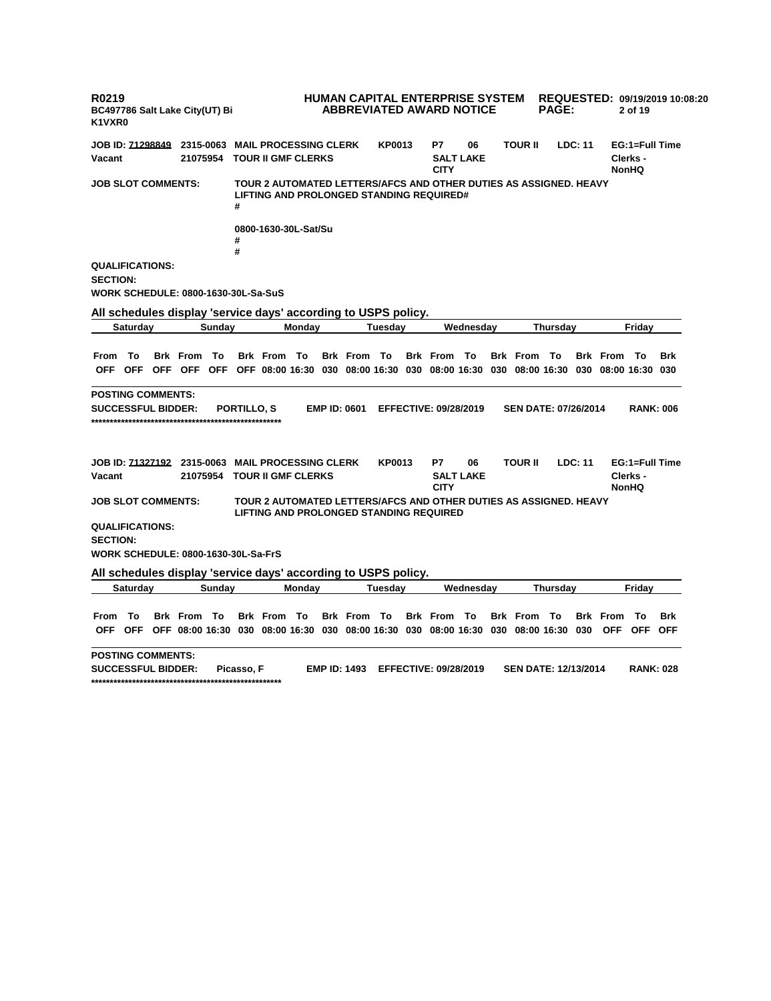**R0219 BC497786 Salt Lake City(UT) Bi K1VXR0 HUMAN CAPITAL ENTERPRISE SYSTEM REQUESTED: 09/19/2019 10:08:20 ABBREVIATED AWARD NOTICE PAGE: 2 of 19 JOB ID: 71298849 2315-0063 MAIL PROCESSING CLERK KP0013 P7 06 TOUR II LDC: 11 EG:1=Full Time Vacant 21075954 TOUR II GMF CLERKS SALT LAKE CITY Clerks - NonHQ JOB SLOT COMMENTS: TOUR 2 AUTOMATED LETTERS/AFCS AND OTHER DUTIES AS ASSIGNED. HEAVY LIFTING AND PROLONGED STANDING REQUIRED# # 0800-1630-30L-Sat/Su # # QUALIFICATIONS: SECTION: WORK SCHEDULE: 0800-1630-30L-Sa-SuS All schedules display 'service days' according to USPS policy. Saturday Sunday Monday Tuesday Wednesday Thursday Friday** From To Brk From To Brk From To Brk From To Brk From To Brk From To Brk From To Brk OFF OFF OFF OFF OFF OFF 08:00 16:30 030 08:00 16:30 030 08:00 16:30 030 08:00 16:30 030 08:00 16:30 030 **POSTING COMMENTS: SUCCESSFUL BIDDER: PORTILLO, S EMP ID: 0601 EFFECTIVE: 09/28/2019 SEN DATE: 07/26/2014 RANK: 006 \*\*\*\*\*\*\*\*\*\*\*\*\*\*\*\*\*\*\*\*\*\*\*\*\*\*\*\*\*\*\*\*\*\*\*\*\*\*\*\*\*\*\*\*\*\*\*\*\*\*\* JOB ID: 71327192 2315-0063 MAIL PROCESSING CLERK KP0013 P7 06 TOUR II LDC: 11 EG:1=Full Time Vacant 21075954 TOUR II GMF CLERKS SALT LAKE CITY Clerks - NonHQ JOB SLOT COMMENTS: TOUR 2 AUTOMATED LETTERS/AFCS AND OTHER DUTIES AS ASSIGNED. HEAVY LIFTING AND PROLONGED STANDING REQUIRED QUALIFICATIONS: SECTION: WORK SCHEDULE: 0800-1630-30L-Sa-FrS All schedules display 'service days' according to USPS policy. Saturday Sunday Monday Tuesday Wednesday Thursday Friday** From To Brk From To Brk From To Brk From To Brk From To Brk From To Brk From To Brk OFF OFF OFF 08:00 16:30 030 08:00 16:30 030 08:00 16:30 030 08:00 16:30 030 08:00 16:30 030 OFF OFF OFF **POSTING COMMENTS: SUCCESSFUL BIDDER: Picasso, F EMP ID: 1493 EFFECTIVE: 09/28/2019 SEN DATE: 12/13/2014 RANK: 028**

**\*\*\*\*\*\*\*\*\*\*\*\*\*\*\*\*\*\*\*\*\*\*\*\*\*\*\*\*\*\*\*\*\*\*\*\*\*\*\*\*\*\*\*\*\*\*\*\*\*\*\***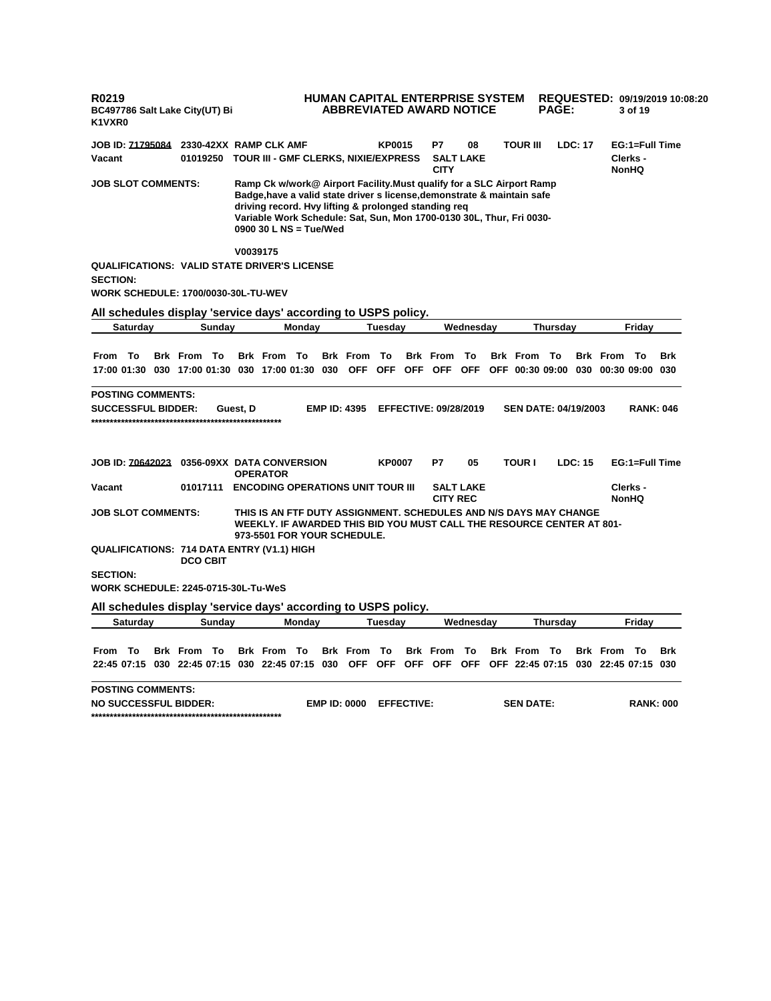**R0219 BC497786 Salt Lake City(UT) Bi K1VXR0 HUMAN CAPITAL ENTERPRISE SYSTEM REQUESTED: 09/19/2019 10:08:20 ABBREVIATED AWARD NOTICE PAGE: 3 of 19 JOB ID: 71795084 2330-42XX RAMP CLK AMF KP0015 P7 08 TOUR III LDC: 17 EG:1=Full Time Vacant 01019250 TOUR III - GMF CLERKS, NIXIE/EXPRESS SALT LAKE CITY Clerks - NonHQ JOB SLOT COMMENTS: Ramp Ck w/work@ Airport Facility.Must qualify for a SLC Airport Ramp Badge,have a valid state driver s license,demonstrate & maintain safe driving record. Hvy lifting & prolonged standing req Variable Work Schedule: Sat, Sun, Mon 1700-0130 30L, Thur, Fri 0030- 0900 30 L NS = Tue/Wed V0039175 QUALIFICATIONS: VALID STATE DRIVER'S LICENSE SECTION: WORK SCHEDULE: 1700/0030-30L-TU-WEV All schedules display 'service days' according to USPS policy. Saturday Sunday Monday Tuesday Wednesday Thursday Friday** From To Brk From To Brk From To Brk From To Brk From To Brk From To Brk From To Brk 17:00 01:30 030 17:00 01:30 030 17:00 01:30 030 OFF OFF OFF OFF OFF OFF 00:30 09:00 030 00:30 09:00 030 **POSTING COMMENTS: SUCCESSFUL BIDDER: Guest, D EMP ID: 4395 EFFECTIVE: 09/28/2019 SEN DATE: 04/19/2003 RANK: 046 \*\*\*\*\*\*\*\*\*\*\*\*\*\*\*\*\*\*\*\*\*\*\*\*\*\*\*\*\*\*\*\*\*\*\*\*\*\*\*\*\*\*\*\*\*\*\*\*\*\*\* JOB ID: 70642023 0356-09XX DATA CONVERSION OPERATOR KP0007 P7 05 TOUR I LDC: 15 EG:1=Full Time Vacant 01017111 ENCODING OPERATIONS UNIT TOUR III SALT LAKE CITY REC Clerks - NonHQ JOB SLOT COMMENTS: THIS IS AN FTF DUTY ASSIGNMENT. SCHEDULES AND N/S DAYS MAY CHANGE WEEKLY. IF AWARDED THIS BID YOU MUST CALL THE RESOURCE CENTER AT 801- 973-5501 FOR YOUR SCHEDULE. QUALIFICATIONS: 714 DATA ENTRY (V1.1) HIGH DCO CBIT SECTION: WORK SCHEDULE: 2245-0715-30L-Tu-WeS All schedules display 'service days' according to USPS policy. Saturday Sunday Monday Tuesday Wednesday Thursday Friday** From To Brk From To Brk From To Brk From To Brk From To Brk From To Brk From To Brk 22:45 07:15 030 22:45 07:15 030 22:45 07:15 030 OFF OFF OFF OFF OFF OFF 22:45 07:15 030 22:45 07:15 030 **POSTING COMMENTS: NO SUCCESSFUL BIDDER: EMP ID: 0000 EFFECTIVE: SEN DATE: RANK: 000 \*\*\*\*\*\*\*\*\*\*\*\*\*\*\*\*\*\*\*\*\*\*\*\*\*\*\*\*\*\*\*\*\*\*\*\*\*\*\*\*\*\*\*\*\*\*\*\*\*\*\***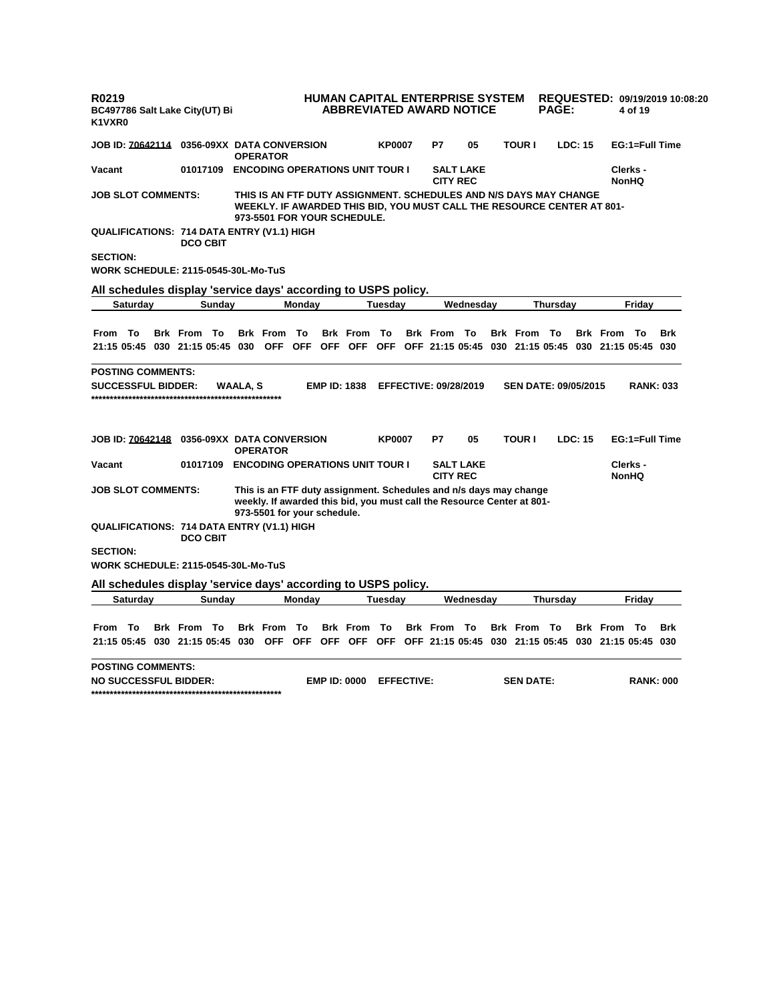| R0219<br>BC497786 Salt Lake City(UT) Bi<br>K1VXR0                                                                                                                                                                                                                                                                                                                                                                                                                                                                                                                                                                                                                                                                                                                                                                                                                                                                                                                                                                                                                                                                                                                                                                                                                                                                                                                                                                                                                                                                                                                                                                                                                                                                                                   |  |                    |                                          |            | HUMAN CAPITAL ENTERPRISE SYSTEM<br><b>ABBREVIATED AWARD NOTICE</b>                 |               |                   |                 |                  |                  | <b>PAGE:</b> |                |                 | 4 of 19          | REQUESTED: 09/19/2019 10:08:20 |
|-----------------------------------------------------------------------------------------------------------------------------------------------------------------------------------------------------------------------------------------------------------------------------------------------------------------------------------------------------------------------------------------------------------------------------------------------------------------------------------------------------------------------------------------------------------------------------------------------------------------------------------------------------------------------------------------------------------------------------------------------------------------------------------------------------------------------------------------------------------------------------------------------------------------------------------------------------------------------------------------------------------------------------------------------------------------------------------------------------------------------------------------------------------------------------------------------------------------------------------------------------------------------------------------------------------------------------------------------------------------------------------------------------------------------------------------------------------------------------------------------------------------------------------------------------------------------------------------------------------------------------------------------------------------------------------------------------------------------------------------------------|--|--------------------|------------------------------------------|------------|------------------------------------------------------------------------------------|---------------|-------------------|-----------------|------------------|------------------|--------------|----------------|-----------------|------------------|--------------------------------|
| <b>JOB ID: 70642114 0356-09XX DATA CONVERSION</b>                                                                                                                                                                                                                                                                                                                                                                                                                                                                                                                                                                                                                                                                                                                                                                                                                                                                                                                                                                                                                                                                                                                                                                                                                                                                                                                                                                                                                                                                                                                                                                                                                                                                                                   |  |                    | <b>OPERATOR</b>                          |            |                                                                                    | <b>KP0007</b> |                   | P7              | 05               | <b>TOUR I</b>    |              | <b>LDC: 15</b> |                 | EG:1=Full Time   |                                |
| Vacant                                                                                                                                                                                                                                                                                                                                                                                                                                                                                                                                                                                                                                                                                                                                                                                                                                                                                                                                                                                                                                                                                                                                                                                                                                                                                                                                                                                                                                                                                                                                                                                                                                                                                                                                              |  |                    | 01017109 ENCODING OPERATIONS UNIT TOUR I |            |                                                                                    |               |                   |                 | <b>SALT LAKE</b> |                  |              |                |                 | Clerks -         |                                |
|                                                                                                                                                                                                                                                                                                                                                                                                                                                                                                                                                                                                                                                                                                                                                                                                                                                                                                                                                                                                                                                                                                                                                                                                                                                                                                                                                                                                                                                                                                                                                                                                                                                                                                                                                     |  |                    |                                          |            |                                                                                    |               |                   |                 |                  |                  |              |                |                 |                  |                                |
|                                                                                                                                                                                                                                                                                                                                                                                                                                                                                                                                                                                                                                                                                                                                                                                                                                                                                                                                                                                                                                                                                                                                                                                                                                                                                                                                                                                                                                                                                                                                                                                                                                                                                                                                                     |  |                    |                                          |            |                                                                                    |               |                   |                 |                  |                  |              |                |                 |                  |                                |
|                                                                                                                                                                                                                                                                                                                                                                                                                                                                                                                                                                                                                                                                                                                                                                                                                                                                                                                                                                                                                                                                                                                                                                                                                                                                                                                                                                                                                                                                                                                                                                                                                                                                                                                                                     |  |                    |                                          |            |                                                                                    |               |                   |                 |                  |                  |              |                |                 |                  |                                |
|                                                                                                                                                                                                                                                                                                                                                                                                                                                                                                                                                                                                                                                                                                                                                                                                                                                                                                                                                                                                                                                                                                                                                                                                                                                                                                                                                                                                                                                                                                                                                                                                                                                                                                                                                     |  |                    |                                          |            |                                                                                    |               |                   |                 |                  |                  |              |                |                 |                  |                                |
|                                                                                                                                                                                                                                                                                                                                                                                                                                                                                                                                                                                                                                                                                                                                                                                                                                                                                                                                                                                                                                                                                                                                                                                                                                                                                                                                                                                                                                                                                                                                                                                                                                                                                                                                                     |  |                    |                                          |            |                                                                                    |               |                   |                 |                  |                  |              |                |                 |                  |                                |
|                                                                                                                                                                                                                                                                                                                                                                                                                                                                                                                                                                                                                                                                                                                                                                                                                                                                                                                                                                                                                                                                                                                                                                                                                                                                                                                                                                                                                                                                                                                                                                                                                                                                                                                                                     |  |                    | <b>OFF</b>                               | <b>OFF</b> |                                                                                    | To            |                   |                 |                  |                  |              |                |                 |                  | <b>Brk</b>                     |
|                                                                                                                                                                                                                                                                                                                                                                                                                                                                                                                                                                                                                                                                                                                                                                                                                                                                                                                                                                                                                                                                                                                                                                                                                                                                                                                                                                                                                                                                                                                                                                                                                                                                                                                                                     |  |                    |                                          |            |                                                                                    |               |                   |                 |                  |                  |              |                |                 |                  |                                |
|                                                                                                                                                                                                                                                                                                                                                                                                                                                                                                                                                                                                                                                                                                                                                                                                                                                                                                                                                                                                                                                                                                                                                                                                                                                                                                                                                                                                                                                                                                                                                                                                                                                                                                                                                     |  |                    |                                          |            |                                                                                    |               |                   | P7              | 05               |                  |              |                |                 |                  |                                |
| Vacant                                                                                                                                                                                                                                                                                                                                                                                                                                                                                                                                                                                                                                                                                                                                                                                                                                                                                                                                                                                                                                                                                                                                                                                                                                                                                                                                                                                                                                                                                                                                                                                                                                                                                                                                              |  |                    |                                          |            |                                                                                    |               |                   |                 |                  |                  |              |                |                 |                  |                                |
|                                                                                                                                                                                                                                                                                                                                                                                                                                                                                                                                                                                                                                                                                                                                                                                                                                                                                                                                                                                                                                                                                                                                                                                                                                                                                                                                                                                                                                                                                                                                                                                                                                                                                                                                                     |  |                    |                                          |            |                                                                                    |               |                   |                 |                  |                  |              |                |                 |                  |                                |
|                                                                                                                                                                                                                                                                                                                                                                                                                                                                                                                                                                                                                                                                                                                                                                                                                                                                                                                                                                                                                                                                                                                                                                                                                                                                                                                                                                                                                                                                                                                                                                                                                                                                                                                                                     |  |                    |                                          |            |                                                                                    |               |                   |                 |                  |                  |              |                |                 |                  |                                |
|                                                                                                                                                                                                                                                                                                                                                                                                                                                                                                                                                                                                                                                                                                                                                                                                                                                                                                                                                                                                                                                                                                                                                                                                                                                                                                                                                                                                                                                                                                                                                                                                                                                                                                                                                     |  |                    |                                          |            |                                                                                    |               |                   |                 |                  |                  |              |                |                 |                  |                                |
| <b>CITY REC</b><br><b>NonHQ</b><br><b>JOB SLOT COMMENTS:</b><br>THIS IS AN FTF DUTY ASSIGNMENT. SCHEDULES AND N/S DAYS MAY CHANGE<br>WEEKLY. IF AWARDED THIS BID, YOU MUST CALL THE RESOURCE CENTER AT 801-<br>973-5501 FOR YOUR SCHEDULE.<br><b>QUALIFICATIONS: 714 DATA ENTRY (V1.1) HIGH</b><br><b>DCO CBIT</b><br><b>SECTION:</b><br>WORK SCHEDULE: 2115-0545-30L-Mo-TuS<br>All schedules display 'service days' according to USPS policy.<br>Saturday<br>Monday<br><b>Tuesday</b><br>Wednesday<br>Thursday<br>Friday<br>Sunday<br>From To<br><b>Brk From To</b><br><b>Brk From To</b><br><b>Brk</b> From<br><b>Brk From To</b><br><b>Brk From To</b><br><b>Brk</b> From<br>- To<br>21:15 05:45 030 21:15 05:45 030<br>OFF OFF<br>OFF OFF 21:15 05:45 030 21:15 05:45 030 21:15 05:45 030<br><b>POSTING COMMENTS:</b><br><b>EMP ID: 1838</b><br><b>EFFECTIVE: 09/28/2019</b><br>SEN DATE: 09/05/2015<br><b>RANK: 033</b><br><b>SUCCESSFUL BIDDER:</b><br>WAALA, S<br><b>TOUR I</b><br>LDC: 15<br>EG:1=Full Time<br>JOB ID: 70642148<br>0356-09XX DATA CONVERSION<br><b>KP0007</b><br><b>OPERATOR</b><br><b>ENCODING OPERATIONS UNIT TOUR I</b><br>01017109<br><b>SALT LAKE</b><br>Clerks -<br><b>CITY REC</b><br><b>NonHQ</b><br>This is an FTF duty assignment. Schedules and n/s days may change<br><b>JOB SLOT COMMENTS:</b><br>weekly. If awarded this bid, you must call the Resource Center at 801-<br>973-5501 for your schedule.<br>QUALIFICATIONS: 714 DATA ENTRY (V1.1) HIGH<br><b>DCO CBIT</b><br><b>SECTION:</b><br><b>WORK SCHEDULE: 2115-0545-30L-Mo-TuS</b><br>All schedules display 'service days' according to USPS policy.<br><b>Saturday</b><br>Monday<br>Wednesday<br>Friday<br>Sunday<br><b>Tuesday</b><br><b>Thursday</b> |  |                    |                                          |            |                                                                                    |               |                   |                 |                  |                  |              |                |                 |                  |                                |
|                                                                                                                                                                                                                                                                                                                                                                                                                                                                                                                                                                                                                                                                                                                                                                                                                                                                                                                                                                                                                                                                                                                                                                                                                                                                                                                                                                                                                                                                                                                                                                                                                                                                                                                                                     |  |                    |                                          |            |                                                                                    |               |                   |                 |                  |                  |              |                |                 |                  |                                |
| To<br>From<br>21:15 05:45 030 21:15 05:45 030 OFF OFF                                                                                                                                                                                                                                                                                                                                                                                                                                                                                                                                                                                                                                                                                                                                                                                                                                                                                                                                                                                                                                                                                                                                                                                                                                                                                                                                                                                                                                                                                                                                                                                                                                                                                               |  | <b>Brk From To</b> | <b>Brk</b> From                          | То         | <b>Brk</b> From<br>OFF OFF OFF OFF 21:15 05:45 030 21:15 05:45 030 21:15 05:45 030 | To            |                   | <b>Brk</b> From | То               | <b>Brk</b> From  | Π٥           |                | <b>Brk</b> From | - To             | <b>Brk</b>                     |
| <b>POSTING COMMENTS:</b><br><b>NO SUCCESSFUL BIDDER:</b>                                                                                                                                                                                                                                                                                                                                                                                                                                                                                                                                                                                                                                                                                                                                                                                                                                                                                                                                                                                                                                                                                                                                                                                                                                                                                                                                                                                                                                                                                                                                                                                                                                                                                            |  |                    |                                          |            | <b>EMP ID: 0000</b>                                                                |               | <b>EFFECTIVE:</b> |                 |                  | <b>SEN DATE:</b> |              |                |                 | <b>RANK: 000</b> |                                |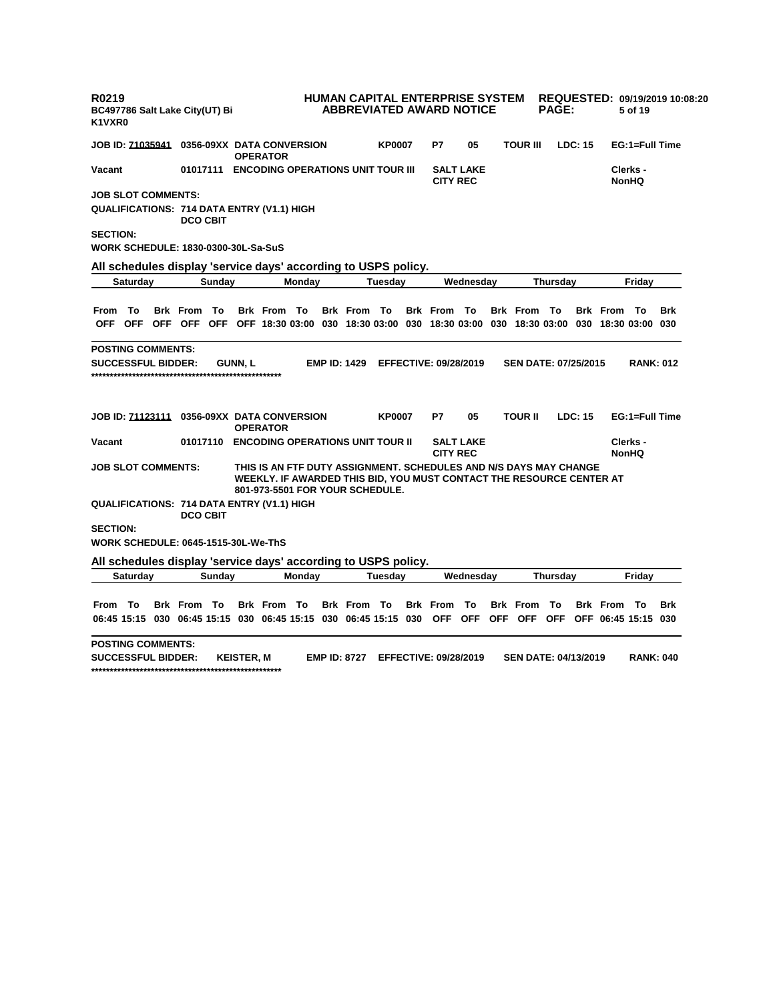| R0219<br>BC497786 Salt Lake City(UT) Bi<br>K1VXR0                                 |                         |                                                                                                                                                                              |                     | HUMAN CAPITAL ENTERPRISE SYSTEM<br><b>ABBREVIATED AWARD NOTICE</b> |                              |                  |                 |                    | <b>PAGE:</b>                |                |                                         | 5 of 19                  | REQUESTED: 09/19/2019 10:08:20 |
|-----------------------------------------------------------------------------------|-------------------------|------------------------------------------------------------------------------------------------------------------------------------------------------------------------------|---------------------|--------------------------------------------------------------------|------------------------------|------------------|-----------------|--------------------|-----------------------------|----------------|-----------------------------------------|--------------------------|--------------------------------|
| <b>JOB ID: 71035941  0356-09XX DATA CONVERSION</b>                                |                         | <b>OPERATOR</b>                                                                                                                                                              |                     | <b>KP0007</b>                                                      | P7                           | 05               |                 | <b>TOUR III</b>    |                             | <b>LDC: 15</b> |                                         | EG:1=Full Time           |                                |
| Vacant                                                                            |                         | 01017111 ENCODING OPERATIONS UNIT TOUR III                                                                                                                                   |                     |                                                                    | <b>CITY REC</b>              | <b>SALT LAKE</b> |                 |                    |                             |                |                                         | Clerks -<br><b>NonHQ</b> |                                |
| <b>JOB SLOT COMMENTS:</b>                                                         |                         |                                                                                                                                                                              |                     |                                                                    |                              |                  |                 |                    |                             |                |                                         |                          |                                |
| QUALIFICATIONS: 714 DATA ENTRY (V1.1) HIGH                                        | <b>DCO CBIT</b>         |                                                                                                                                                                              |                     |                                                                    |                              |                  |                 |                    |                             |                |                                         |                          |                                |
| <b>SECTION:</b>                                                                   |                         |                                                                                                                                                                              |                     |                                                                    |                              |                  |                 |                    |                             |                |                                         |                          |                                |
| <b>WORK SCHEDULE: 1830-0300-30L-Sa-SuS</b>                                        |                         |                                                                                                                                                                              |                     |                                                                    |                              |                  |                 |                    |                             |                |                                         |                          |                                |
| All schedules display 'service days' according to USPS policy.                    |                         |                                                                                                                                                                              |                     |                                                                    |                              |                  |                 |                    |                             |                |                                         |                          |                                |
| Saturday                                                                          | Sunday                  | Monday                                                                                                                                                                       |                     | Tuesday                                                            |                              | Wednesday        |                 |                    | <b>Thursday</b>             |                |                                         | Friday                   |                                |
|                                                                                   |                         |                                                                                                                                                                              |                     |                                                                    |                              |                  |                 |                    |                             |                |                                         |                          |                                |
| From To                                                                           | <b>Brk</b> From<br>- То | <b>Brk From To</b>                                                                                                                                                           |                     | <b>Brk From To</b>                                                 | <b>Brk From To</b>           |                  |                 | <b>Brk From To</b> |                             |                | <b>Brk From To</b>                      |                          | Brk                            |
| <b>OFF</b><br>OFF OFF OFF                                                         |                         | OFF OFF 18:30 03:00 030 18:30 03:00 030 18:30 03:00 030 18:30 03:00 030 18:30 03:00 030                                                                                      |                     |                                                                    |                              |                  |                 |                    |                             |                |                                         |                          |                                |
| <b>POSTING COMMENTS:</b>                                                          |                         |                                                                                                                                                                              |                     |                                                                    |                              |                  |                 |                    |                             |                |                                         |                          |                                |
| <b>SUCCESSFUL BIDDER:</b>                                                         |                         | <b>GUNN, L</b>                                                                                                                                                               | <b>EMP ID: 1429</b> |                                                                    | <b>EFFECTIVE: 09/28/2019</b> |                  |                 |                    | <b>SEN DATE: 07/25/2015</b> |                |                                         | <b>RANK: 012</b>         |                                |
|                                                                                   |                         |                                                                                                                                                                              |                     |                                                                    |                              |                  |                 |                    |                             |                |                                         |                          |                                |
| <b>JOB ID: 71123111  0356-09XX DATA CONVERSION</b>                                |                         | <b>OPERATOR</b>                                                                                                                                                              |                     | <b>KP0007</b>                                                      | P7                           | 05               |                 | <b>TOUR II</b>     |                             | LDC: 15        |                                         | EG:1=Full Time           |                                |
| Vacant                                                                            | 01017110                | <b>ENCODING OPERATIONS UNIT TOUR II</b>                                                                                                                                      |                     |                                                                    | <b>CITY REC</b>              | <b>SALT LAKE</b> |                 |                    |                             |                |                                         | Clerks -<br><b>NonHQ</b> |                                |
| <b>JOB SLOT COMMENTS:</b>                                                         |                         | THIS IS AN FTF DUTY ASSIGNMENT. SCHEDULES AND N/S DAYS MAY CHANGE<br>WEEKLY. IF AWARDED THIS BID, YOU MUST CONTACT THE RESOURCE CENTER AT<br>801-973-5501 FOR YOUR SCHEDULE. |                     |                                                                    |                              |                  |                 |                    |                             |                |                                         |                          |                                |
| <b>QUALIFICATIONS: 714 DATA ENTRY (V1.1) HIGH</b>                                 | <b>DCO CBIT</b>         |                                                                                                                                                                              |                     |                                                                    |                              |                  |                 |                    |                             |                |                                         |                          |                                |
| <b>SECTION:</b><br><b>WORK SCHEDULE: 0645-1515-30L-We-ThS</b>                     |                         |                                                                                                                                                                              |                     |                                                                    |                              |                  |                 |                    |                             |                |                                         |                          |                                |
|                                                                                   |                         |                                                                                                                                                                              |                     |                                                                    |                              |                  |                 |                    |                             |                |                                         |                          |                                |
| All schedules display 'service days' according to USPS policy.<br><b>Saturday</b> |                         | Monday                                                                                                                                                                       |                     | Tuesday                                                            |                              | Wednesday        |                 |                    | Thursday                    |                |                                         | Friday                   |                                |
|                                                                                   | Sunday                  |                                                                                                                                                                              |                     |                                                                    |                              |                  |                 |                    |                             |                |                                         |                          |                                |
| From To                                                                           | <b>Brk From To</b>      | <b>Brk From To</b>                                                                                                                                                           |                     | <b>Brk From To</b>                                                 | <b>Brk</b> From              | То               | <b>Brk</b> From |                    | <b>To</b>                   |                | <b>Brk From To</b>                      |                          | Brk                            |
| 06:45 15:15 030 06:45 15:15 030 06:45 15:15 030 06:45 15:15 030                   |                         |                                                                                                                                                                              |                     |                                                                    |                              |                  |                 |                    |                             |                | OFF OFF OFF OFF OFF OFF 06:45 15:15 030 |                          |                                |
| <b>POSTING COMMENTS:</b>                                                          |                         |                                                                                                                                                                              |                     |                                                                    |                              |                  |                 |                    |                             |                |                                         |                          |                                |
| <b>SUCCESSFUL BIDDER:</b>                                                         |                         | <b>KEISTER, M</b>                                                                                                                                                            | <b>EMP ID: 8727</b> |                                                                    | <b>EFFECTIVE: 09/28/2019</b> |                  |                 |                    | <b>SEN DATE: 04/13/2019</b> |                |                                         | <b>RANK: 040</b>         |                                |
|                                                                                   |                         |                                                                                                                                                                              |                     |                                                                    |                              |                  |                 |                    |                             |                |                                         |                          |                                |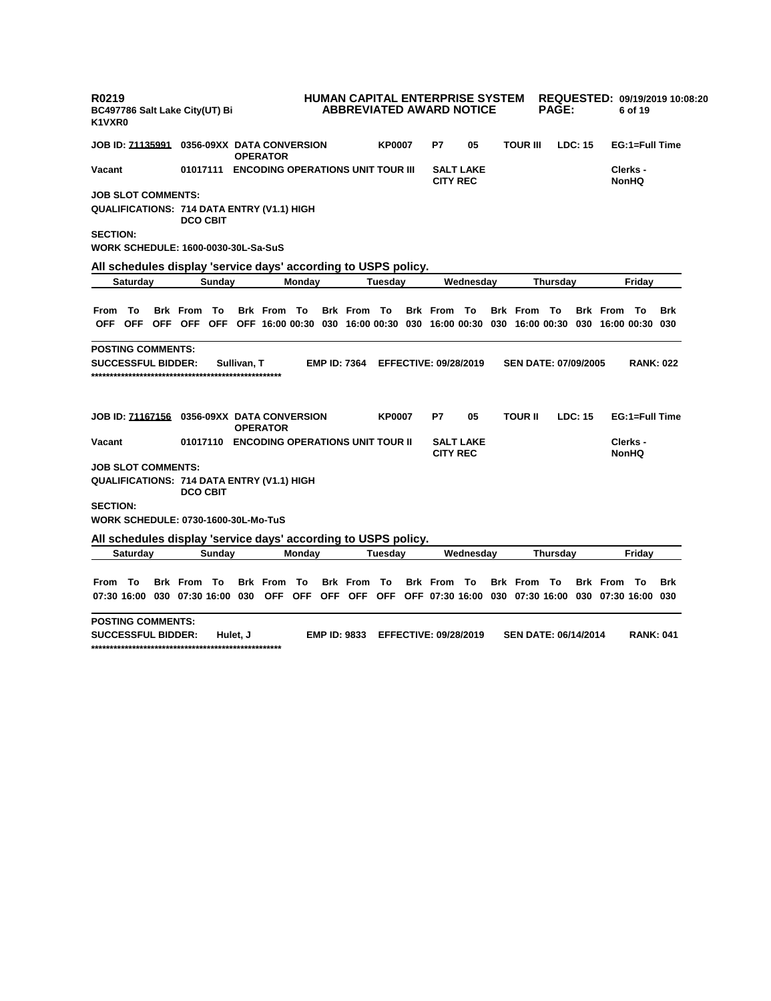| R0219<br>K1VXR0 |                           | BC497786 Salt Lake City(UT) Bi                                 |                 |             |                    |        |                                            |               | <b>HUMAN CAPITAL ENTERPRISE SYSTEM</b><br><b>ABBREVIATED AWARD NOTICE</b> |                  |                             | <b>PAGE:</b>    |         |                                                                                                             | 6 of 19                  | REQUESTED: 09/19/2019 10:08:20 |
|-----------------|---------------------------|----------------------------------------------------------------|-----------------|-------------|--------------------|--------|--------------------------------------------|---------------|---------------------------------------------------------------------------|------------------|-----------------------------|-----------------|---------|-------------------------------------------------------------------------------------------------------------|--------------------------|--------------------------------|
|                 |                           | JOB ID: 71135991 0356-09XX  DATA CONVERSION                    |                 |             | <b>OPERATOR</b>    |        |                                            | <b>KP0007</b> | P7                                                                        | 05               | <b>TOUR III</b>             |                 | LDC: 15 |                                                                                                             | EG:1=Full Time           |                                |
| Vacant          |                           |                                                                |                 |             |                    |        | 01017111 ENCODING OPERATIONS UNIT TOUR III |               | <b>CITY REC</b>                                                           | <b>SALT LAKE</b> |                             |                 |         |                                                                                                             | Clerks -<br><b>NonHQ</b> |                                |
|                 | <b>JOB SLOT COMMENTS:</b> |                                                                |                 |             |                    |        |                                            |               |                                                                           |                  |                             |                 |         |                                                                                                             |                          |                                |
|                 |                           | QUALIFICATIONS: 714 DATA ENTRY (V1.1) HIGH                     | <b>DCO CBIT</b> |             |                    |        |                                            |               |                                                                           |                  |                             |                 |         |                                                                                                             |                          |                                |
| <b>SECTION:</b> |                           |                                                                |                 |             |                    |        |                                            |               |                                                                           |                  |                             |                 |         |                                                                                                             |                          |                                |
|                 |                           | WORK SCHEDULE: 1600-0030-30L-Sa-SuS                            |                 |             |                    |        |                                            |               |                                                                           |                  |                             |                 |         |                                                                                                             |                          |                                |
|                 |                           | All schedules display 'service days' according to USPS policy. |                 |             |                    |        |                                            |               |                                                                           |                  |                             |                 |         |                                                                                                             |                          |                                |
|                 | Saturday                  |                                                                | Sunday          |             |                    | Monday |                                            | Tuesday       |                                                                           | Wednesday        |                             | Thursday        |         |                                                                                                             | Friday                   |                                |
|                 |                           |                                                                |                 |             |                    |        |                                            |               |                                                                           |                  |                             |                 |         |                                                                                                             |                          |                                |
| From To         |                           | <b>Brk From To</b>                                             |                 |             | <b>Brk From To</b> |        | Brk From To                                |               | <b>Brk From To</b>                                                        |                  | <b>Brk From To</b>          |                 |         | <b>Brk From To</b>                                                                                          |                          | <b>Brk</b>                     |
|                 |                           |                                                                |                 |             |                    |        |                                            |               |                                                                           |                  |                             |                 |         | OFF OFF OFF OFF OFF OFF 16:00 00:30 030 16:00 00:30 030 16:00 00:30 030 16:00 00:30 030 16:00 00:30 030     |                          |                                |
|                 | POSTING COMMENTS:         |                                                                |                 |             |                    |        |                                            |               |                                                                           |                  |                             |                 |         |                                                                                                             |                          |                                |
|                 | <b>SUCCESSFUL BIDDER:</b> |                                                                |                 | Sullivan. T |                    |        | <b>EMP ID: 7364</b>                        |               | <b>EFFECTIVE: 09/28/2019</b>                                              |                  | <b>SEN DATE: 07/09/2005</b> |                 |         |                                                                                                             | <b>RANK: 022</b>         |                                |
|                 |                           | JOB ID: <u>71167156</u> 0356-09XX  DATA CONVERSION             |                 |             | <b>OPERATOR</b>    |        |                                            | <b>KP0007</b> | P7                                                                        | 05               | <b>TOUR II</b>              |                 | LDC: 15 |                                                                                                             | EG:1=Full Time           |                                |
| Vacant          |                           |                                                                |                 |             |                    |        | 01017110 ENCODING OPERATIONS UNIT TOUR II  |               | <b>CITY REC</b>                                                           | <b>SALT LAKE</b> |                             |                 |         |                                                                                                             | Clerks -<br><b>NonHQ</b> |                                |
|                 | <b>JOB SLOT COMMENTS:</b> |                                                                |                 |             |                    |        |                                            |               |                                                                           |                  |                             |                 |         |                                                                                                             |                          |                                |
|                 |                           | QUALIFICATIONS: 714 DATA ENTRY (V1.1) HIGH                     | <b>DCO CBIT</b> |             |                    |        |                                            |               |                                                                           |                  |                             |                 |         |                                                                                                             |                          |                                |
| <b>SECTION:</b> |                           |                                                                |                 |             |                    |        |                                            |               |                                                                           |                  |                             |                 |         |                                                                                                             |                          |                                |
|                 |                           | WORK SCHEDULE: 0730-1600-30L-Mo-TuS                            |                 |             |                    |        |                                            |               |                                                                           |                  |                             |                 |         |                                                                                                             |                          |                                |
|                 |                           | All schedules display 'service days' according to USPS policy. |                 |             |                    |        |                                            |               |                                                                           |                  |                             |                 |         |                                                                                                             |                          |                                |
|                 | <b>Saturday</b>           |                                                                | Sunday          |             |                    | Monday |                                            | Tuesday       |                                                                           | Wednesday        |                             | <b>Thursday</b> |         |                                                                                                             | Fridav                   |                                |
|                 |                           |                                                                |                 |             |                    |        |                                            |               |                                                                           |                  |                             |                 |         |                                                                                                             |                          |                                |
| From            | To                        | <b>Brk</b> From                                                | - То            |             | <b>Brk</b> From    | То     | <b>Brk</b> From                            | То            | <b>Brk</b> From                                                           | To               | <b>Brk</b> From             | To              |         | <b>Brk</b> From                                                                                             | То                       | <b>Brk</b>                     |
|                 |                           |                                                                |                 |             |                    |        |                                            |               |                                                                           |                  |                             |                 |         | 07:30 16:00 030 07:30 16:00 030 OFF OFF OFF OFF OFF OFF OFF 07:30 16:00 030 07:30 16:00 030 07:30 16:00 030 |                          |                                |
|                 | <b>POSTING COMMENTS:</b>  |                                                                |                 |             |                    |        |                                            |               |                                                                           |                  |                             |                 |         |                                                                                                             |                          |                                |
|                 |                           |                                                                |                 |             |                    |        |                                            |               |                                                                           |                  |                             |                 |         |                                                                                                             |                          |                                |

**SUCCESSFUL BIDDER: Hulet, J EMP ID: 9833 EFFECTIVE: 09/28/2019 SEN DATE: 06/14/2014 RANK: 041 \*\*\*\*\*\*\*\*\*\*\*\*\*\*\*\*\*\*\*\*\*\*\*\*\*\*\*\*\*\*\*\*\*\*\*\*\*\*\*\*\*\*\*\*\*\*\*\*\*\*\***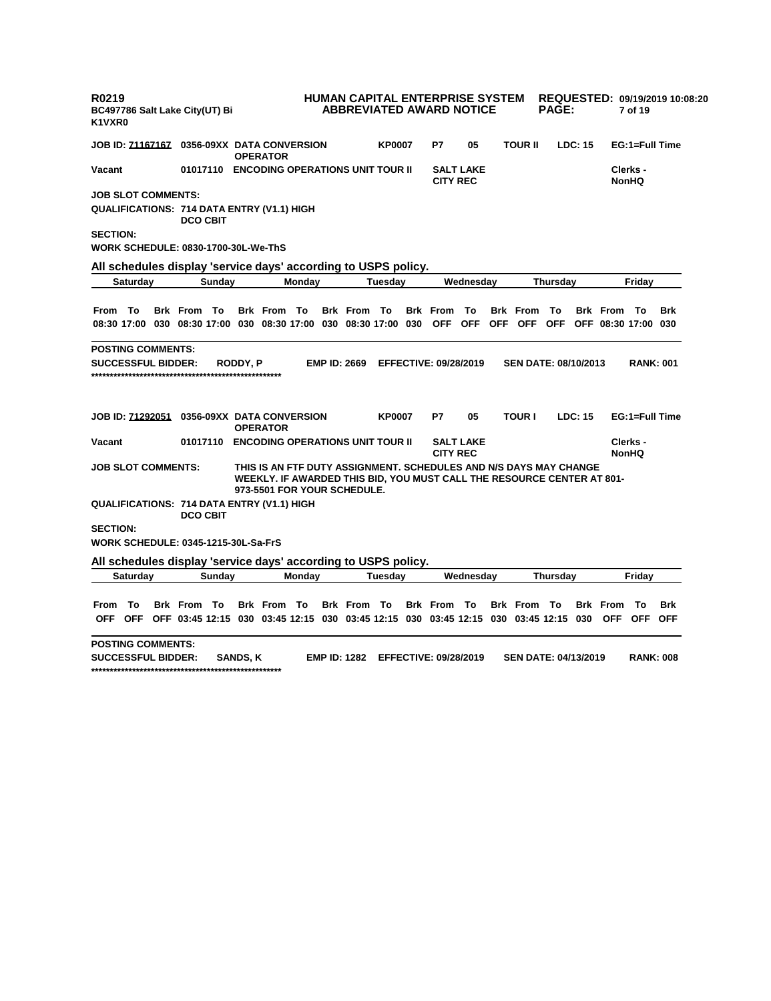| R0219<br>K1VXR0                                                                                                                                                                                                                                                                                                                                                                                                                                                                                                                                                                                                                                                                                                                                                                                                                                                                                                                                                                                                                                                                                                                                                                                                                                                                                                                                                                                                                                                                                                                                                                                                                                                                                                                                                                                                                                                 |                 |                 |                                    |  |  |    |    |  |                             |  |                  |  |
|-----------------------------------------------------------------------------------------------------------------------------------------------------------------------------------------------------------------------------------------------------------------------------------------------------------------------------------------------------------------------------------------------------------------------------------------------------------------------------------------------------------------------------------------------------------------------------------------------------------------------------------------------------------------------------------------------------------------------------------------------------------------------------------------------------------------------------------------------------------------------------------------------------------------------------------------------------------------------------------------------------------------------------------------------------------------------------------------------------------------------------------------------------------------------------------------------------------------------------------------------------------------------------------------------------------------------------------------------------------------------------------------------------------------------------------------------------------------------------------------------------------------------------------------------------------------------------------------------------------------------------------------------------------------------------------------------------------------------------------------------------------------------------------------------------------------------------------------------------------------|-----------------|-----------------|------------------------------------|--|--|----|----|--|-----------------------------|--|------------------|--|
|                                                                                                                                                                                                                                                                                                                                                                                                                                                                                                                                                                                                                                                                                                                                                                                                                                                                                                                                                                                                                                                                                                                                                                                                                                                                                                                                                                                                                                                                                                                                                                                                                                                                                                                                                                                                                                                                 |                 | <b>OPERATOR</b> |                                    |  |  | P7 | 05 |  |                             |  |                  |  |
| Vacant                                                                                                                                                                                                                                                                                                                                                                                                                                                                                                                                                                                                                                                                                                                                                                                                                                                                                                                                                                                                                                                                                                                                                                                                                                                                                                                                                                                                                                                                                                                                                                                                                                                                                                                                                                                                                                                          |                 |                 |                                    |  |  |    |    |  |                             |  |                  |  |
|                                                                                                                                                                                                                                                                                                                                                                                                                                                                                                                                                                                                                                                                                                                                                                                                                                                                                                                                                                                                                                                                                                                                                                                                                                                                                                                                                                                                                                                                                                                                                                                                                                                                                                                                                                                                                                                                 |                 |                 |                                    |  |  |    |    |  |                             |  |                  |  |
|                                                                                                                                                                                                                                                                                                                                                                                                                                                                                                                                                                                                                                                                                                                                                                                                                                                                                                                                                                                                                                                                                                                                                                                                                                                                                                                                                                                                                                                                                                                                                                                                                                                                                                                                                                                                                                                                 | <b>DCO CBIT</b> |                 |                                    |  |  |    |    |  |                             |  |                  |  |
| <b>SECTION:</b>                                                                                                                                                                                                                                                                                                                                                                                                                                                                                                                                                                                                                                                                                                                                                                                                                                                                                                                                                                                                                                                                                                                                                                                                                                                                                                                                                                                                                                                                                                                                                                                                                                                                                                                                                                                                                                                 |                 |                 |                                    |  |  |    |    |  |                             |  |                  |  |
|                                                                                                                                                                                                                                                                                                                                                                                                                                                                                                                                                                                                                                                                                                                                                                                                                                                                                                                                                                                                                                                                                                                                                                                                                                                                                                                                                                                                                                                                                                                                                                                                                                                                                                                                                                                                                                                                 |                 |                 |                                    |  |  |    |    |  |                             |  |                  |  |
| HUMAN CAPITAL ENTERPRISE SYSTEM<br><b>ABBREVIATED AWARD NOTICE</b><br><b>PAGE:</b><br>BC497786 Salt Lake City(UT) Bi<br>7 of 19<br><b>TOUR II</b><br>EG:1=Full Time<br><b>JOB ID: 71167167 0356-09XX DATA CONVERSION</b><br><b>KP0007</b><br>LDC: 15<br>01017110 ENCODING OPERATIONS UNIT TOUR II<br><b>SALT LAKE</b><br>Clerks -<br><b>CITY REC</b><br><b>NonHQ</b><br><b>JOB SLOT COMMENTS:</b><br>QUALIFICATIONS: 714 DATA ENTRY (V1.1) HIGH<br><b>WORK SCHEDULE: 0830-1700-30L-We-ThS</b><br>All schedules display 'service days' according to USPS policy.<br>Monday<br>Tuesday<br>Friday<br><b>Saturday</b><br>Sunday<br>Wednesday<br>Thursday<br><b>Brk From To</b><br>From To<br><b>Brk From To</b><br><b>Brk From To</b><br><b>Brk From To</b><br><b>Brk</b> From<br>- To<br><b>Brk From To</b><br>Brk<br>OFF OFF OFF<br>08:30 17:00 030 08:30 17:00 030 08:30 17:00 030 08:30 17:00 030<br>OFF OFF<br>OFF 08:30 17:00 030<br><b>POSTING COMMENTS:</b><br><b>SUCCESSFUL BIDDER:</b><br>RODDY, P<br><b>EMP ID: 2669</b><br><b>EFFECTIVE: 09/28/2019</b><br><b>SEN DATE: 08/10/2013</b><br><b>RANK: 001</b><br><b>TOUR I</b><br>LDC: 15<br>EG:1=Full Time<br><b>KP0007</b><br>P7<br>05<br><b>OPERATOR</b><br><b>ENCODING OPERATIONS UNIT TOUR II</b><br>Clerks -<br>Vacant<br>01017110<br><b>SALT LAKE</b><br><b>CITY REC</b><br><b>NonHQ</b><br>THIS IS AN FTF DUTY ASSIGNMENT. SCHEDULES AND N/S DAYS MAY CHANGE<br><b>JOB SLOT COMMENTS:</b><br>WEEKLY. IF AWARDED THIS BID, YOU MUST CALL THE RESOURCE CENTER AT 801-<br>973-5501 FOR YOUR SCHEDULE.<br><b>QUALIFICATIONS: 714 DATA ENTRY (V1.1) HIGH</b><br><b>DCO CBIT</b><br><b>SECTION:</b><br><b>WORK SCHEDULE: 0345-1215-30L-Sa-FrS</b><br>All schedules display 'service days' according to USPS policy.<br><b>Saturday</b><br>Sunday<br>Monday<br>Tuesday<br>Wednesday<br>Fridav<br>Thursday |                 |                 |                                    |  |  |    |    |  |                             |  |                  |  |
| REQUESTED: 09/19/2019 10:08:20<br>From<br>- To<br><b>Brk From To</b><br><b>Brk From To</b><br><b>Brk From To</b><br><b>Brk From To</b><br><b>Brk From To</b><br><b>Brk</b> From<br>To<br>Brk<br>OFF OFF 03:45 12:15 030 03:45 12:15 030 03:45 12:15 030 03:45 12:15 030 03:45 12:15 030<br>OFF OFF OFF<br>OFF.                                                                                                                                                                                                                                                                                                                                                                                                                                                                                                                                                                                                                                                                                                                                                                                                                                                                                                                                                                                                                                                                                                                                                                                                                                                                                                                                                                                                                                                                                                                                                  |                 |                 |                                    |  |  |    |    |  |                             |  |                  |  |
|                                                                                                                                                                                                                                                                                                                                                                                                                                                                                                                                                                                                                                                                                                                                                                                                                                                                                                                                                                                                                                                                                                                                                                                                                                                                                                                                                                                                                                                                                                                                                                                                                                                                                                                                                                                                                                                                 |                 |                 |                                    |  |  |    |    |  |                             |  |                  |  |
|                                                                                                                                                                                                                                                                                                                                                                                                                                                                                                                                                                                                                                                                                                                                                                                                                                                                                                                                                                                                                                                                                                                                                                                                                                                                                                                                                                                                                                                                                                                                                                                                                                                                                                                                                                                                                                                                 |                 |                 |                                    |  |  |    |    |  |                             |  |                  |  |
|                                                                                                                                                                                                                                                                                                                                                                                                                                                                                                                                                                                                                                                                                                                                                                                                                                                                                                                                                                                                                                                                                                                                                                                                                                                                                                                                                                                                                                                                                                                                                                                                                                                                                                                                                                                                                                                                 |                 |                 |                                    |  |  |    |    |  |                             |  |                  |  |
|                                                                                                                                                                                                                                                                                                                                                                                                                                                                                                                                                                                                                                                                                                                                                                                                                                                                                                                                                                                                                                                                                                                                                                                                                                                                                                                                                                                                                                                                                                                                                                                                                                                                                                                                                                                                                                                                 |                 |                 |                                    |  |  |    |    |  |                             |  |                  |  |
|                                                                                                                                                                                                                                                                                                                                                                                                                                                                                                                                                                                                                                                                                                                                                                                                                                                                                                                                                                                                                                                                                                                                                                                                                                                                                                                                                                                                                                                                                                                                                                                                                                                                                                                                                                                                                                                                 |                 |                 |                                    |  |  |    |    |  |                             |  |                  |  |
|                                                                                                                                                                                                                                                                                                                                                                                                                                                                                                                                                                                                                                                                                                                                                                                                                                                                                                                                                                                                                                                                                                                                                                                                                                                                                                                                                                                                                                                                                                                                                                                                                                                                                                                                                                                                                                                                 |                 |                 |                                    |  |  |    |    |  |                             |  |                  |  |
|                                                                                                                                                                                                                                                                                                                                                                                                                                                                                                                                                                                                                                                                                                                                                                                                                                                                                                                                                                                                                                                                                                                                                                                                                                                                                                                                                                                                                                                                                                                                                                                                                                                                                                                                                                                                                                                                 |                 |                 |                                    |  |  |    |    |  |                             |  |                  |  |
|                                                                                                                                                                                                                                                                                                                                                                                                                                                                                                                                                                                                                                                                                                                                                                                                                                                                                                                                                                                                                                                                                                                                                                                                                                                                                                                                                                                                                                                                                                                                                                                                                                                                                                                                                                                                                                                                 |                 |                 |                                    |  |  |    |    |  |                             |  |                  |  |
|                                                                                                                                                                                                                                                                                                                                                                                                                                                                                                                                                                                                                                                                                                                                                                                                                                                                                                                                                                                                                                                                                                                                                                                                                                                                                                                                                                                                                                                                                                                                                                                                                                                                                                                                                                                                                                                                 |                 |                 |                                    |  |  |    |    |  |                             |  |                  |  |
|                                                                                                                                                                                                                                                                                                                                                                                                                                                                                                                                                                                                                                                                                                                                                                                                                                                                                                                                                                                                                                                                                                                                                                                                                                                                                                                                                                                                                                                                                                                                                                                                                                                                                                                                                                                                                                                                 |                 |                 |                                    |  |  |    |    |  |                             |  |                  |  |
|                                                                                                                                                                                                                                                                                                                                                                                                                                                                                                                                                                                                                                                                                                                                                                                                                                                                                                                                                                                                                                                                                                                                                                                                                                                                                                                                                                                                                                                                                                                                                                                                                                                                                                                                                                                                                                                                 |                 |                 |                                    |  |  |    |    |  |                             |  |                  |  |
|                                                                                                                                                                                                                                                                                                                                                                                                                                                                                                                                                                                                                                                                                                                                                                                                                                                                                                                                                                                                                                                                                                                                                                                                                                                                                                                                                                                                                                                                                                                                                                                                                                                                                                                                                                                                                                                                 |                 |                 |                                    |  |  |    |    |  |                             |  |                  |  |
|                                                                                                                                                                                                                                                                                                                                                                                                                                                                                                                                                                                                                                                                                                                                                                                                                                                                                                                                                                                                                                                                                                                                                                                                                                                                                                                                                                                                                                                                                                                                                                                                                                                                                                                                                                                                                                                                 |                 |                 |                                    |  |  |    |    |  |                             |  |                  |  |
| <b>POSTING COMMENTS:</b><br><b>SUCCESSFUL BIDDER:</b>                                                                                                                                                                                                                                                                                                                                                                                                                                                                                                                                                                                                                                                                                                                                                                                                                                                                                                                                                                                                                                                                                                                                                                                                                                                                                                                                                                                                                                                                                                                                                                                                                                                                                                                                                                                                           |                 | <b>SANDS, K</b> | EMP ID: 1282 EFFECTIVE: 09/28/2019 |  |  |    |    |  | <b>SEN DATE: 04/13/2019</b> |  | <b>RANK: 008</b> |  |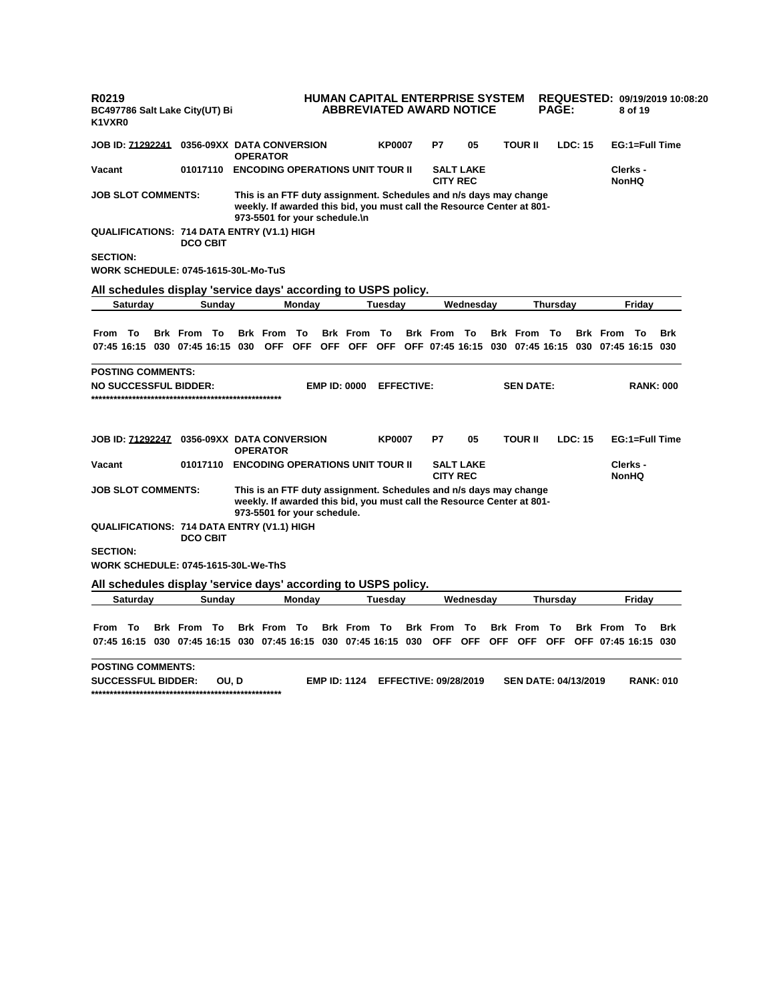| R0219<br>K1VXR0                                                                                                                                                                                                                                                                                                                                                                                                                                                                                                                                                                                                                                                                                                                                                                                                                                                                                                                                                                                        |                                                                                                                                                                                                                                                                                                                                                                                                                                                                                                                                                                                                                                                                                                                                                                                                                                                                                                                                                                                                                                                                                                                                                                                                                                                                                                                                                                                                                                                              |  |  |    |    |    |  |  |  |     |
|--------------------------------------------------------------------------------------------------------------------------------------------------------------------------------------------------------------------------------------------------------------------------------------------------------------------------------------------------------------------------------------------------------------------------------------------------------------------------------------------------------------------------------------------------------------------------------------------------------------------------------------------------------------------------------------------------------------------------------------------------------------------------------------------------------------------------------------------------------------------------------------------------------------------------------------------------------------------------------------------------------|--------------------------------------------------------------------------------------------------------------------------------------------------------------------------------------------------------------------------------------------------------------------------------------------------------------------------------------------------------------------------------------------------------------------------------------------------------------------------------------------------------------------------------------------------------------------------------------------------------------------------------------------------------------------------------------------------------------------------------------------------------------------------------------------------------------------------------------------------------------------------------------------------------------------------------------------------------------------------------------------------------------------------------------------------------------------------------------------------------------------------------------------------------------------------------------------------------------------------------------------------------------------------------------------------------------------------------------------------------------------------------------------------------------------------------------------------------------|--|--|----|----|----|--|--|--|-----|
|                                                                                                                                                                                                                                                                                                                                                                                                                                                                                                                                                                                                                                                                                                                                                                                                                                                                                                                                                                                                        |                                                                                                                                                                                                                                                                                                                                                                                                                                                                                                                                                                                                                                                                                                                                                                                                                                                                                                                                                                                                                                                                                                                                                                                                                                                                                                                                                                                                                                                              |  |  |    | P7 | 05 |  |  |  |     |
| Vacant                                                                                                                                                                                                                                                                                                                                                                                                                                                                                                                                                                                                                                                                                                                                                                                                                                                                                                                                                                                                 | 01017110                                                                                                                                                                                                                                                                                                                                                                                                                                                                                                                                                                                                                                                                                                                                                                                                                                                                                                                                                                                                                                                                                                                                                                                                                                                                                                                                                                                                                                                     |  |  |    |    |    |  |  |  |     |
|                                                                                                                                                                                                                                                                                                                                                                                                                                                                                                                                                                                                                                                                                                                                                                                                                                                                                                                                                                                                        |                                                                                                                                                                                                                                                                                                                                                                                                                                                                                                                                                                                                                                                                                                                                                                                                                                                                                                                                                                                                                                                                                                                                                                                                                                                                                                                                                                                                                                                              |  |  |    |    |    |  |  |  |     |
|                                                                                                                                                                                                                                                                                                                                                                                                                                                                                                                                                                                                                                                                                                                                                                                                                                                                                                                                                                                                        | <b>DCO CBIT</b>                                                                                                                                                                                                                                                                                                                                                                                                                                                                                                                                                                                                                                                                                                                                                                                                                                                                                                                                                                                                                                                                                                                                                                                                                                                                                                                                                                                                                                              |  |  |    |    |    |  |  |  |     |
| <b>SECTION:</b>                                                                                                                                                                                                                                                                                                                                                                                                                                                                                                                                                                                                                                                                                                                                                                                                                                                                                                                                                                                        |                                                                                                                                                                                                                                                                                                                                                                                                                                                                                                                                                                                                                                                                                                                                                                                                                                                                                                                                                                                                                                                                                                                                                                                                                                                                                                                                                                                                                                                              |  |  |    |    |    |  |  |  |     |
|                                                                                                                                                                                                                                                                                                                                                                                                                                                                                                                                                                                                                                                                                                                                                                                                                                                                                                                                                                                                        |                                                                                                                                                                                                                                                                                                                                                                                                                                                                                                                                                                                                                                                                                                                                                                                                                                                                                                                                                                                                                                                                                                                                                                                                                                                                                                                                                                                                                                                              |  |  |    |    |    |  |  |  |     |
| Saturday                                                                                                                                                                                                                                                                                                                                                                                                                                                                                                                                                                                                                                                                                                                                                                                                                                                                                                                                                                                               |                                                                                                                                                                                                                                                                                                                                                                                                                                                                                                                                                                                                                                                                                                                                                                                                                                                                                                                                                                                                                                                                                                                                                                                                                                                                                                                                                                                                                                                              |  |  |    |    |    |  |  |  |     |
| From To                                                                                                                                                                                                                                                                                                                                                                                                                                                                                                                                                                                                                                                                                                                                                                                                                                                                                                                                                                                                |                                                                                                                                                                                                                                                                                                                                                                                                                                                                                                                                                                                                                                                                                                                                                                                                                                                                                                                                                                                                                                                                                                                                                                                                                                                                                                                                                                                                                                                              |  |  | To |    |    |  |  |  | Brk |
|                                                                                                                                                                                                                                                                                                                                                                                                                                                                                                                                                                                                                                                                                                                                                                                                                                                                                                                                                                                                        | <b>HUMAN CAPITAL ENTERPRISE SYSTEM</b><br>REQUESTED: 09/19/2019 10:08:20<br><b>ABBREVIATED AWARD NOTICE</b><br><b>PAGE:</b><br>BC497786 Salt Lake City(UT) Bi<br>8 of 19<br><b>JOB ID: 71292241 0356-09XX DATA CONVERSION</b><br><b>KP0007</b><br><b>TOUR II</b><br>LDC: 15<br>EG:1=Full Time<br><b>OPERATOR</b><br><b>ENCODING OPERATIONS UNIT TOUR II</b><br><b>SALT LAKE</b><br>Clerks -<br><b>CITY REC</b><br><b>NonHQ</b><br><b>JOB SLOT COMMENTS:</b><br>This is an FTF duty assignment. Schedules and n/s days may change<br>weekly. If awarded this bid, you must call the Resource Center at 801-<br>973-5501 for your schedule.\n<br>Sunday<br>Monday<br>Tuesday<br>Wednesday<br><b>Thursday</b><br>Friday<br><b>Brk From To</b><br><b>Brk</b> From<br>To<br><b>Brk</b> From<br><b>Brk From To</b><br><b>Brk From To</b><br><b>Brk From To</b><br>OFF OFF<br><b>OFF</b><br><b>OFF</b><br><b>EMP ID: 0000</b><br><b>EFFECTIVE:</b><br><b>SEN DATE:</b><br><b>KP0007</b><br>P7<br>05<br><b>TOUR II</b><br>LDC: 15<br><b>OPERATOR</b><br><b>ENCODING OPERATIONS UNIT TOUR II</b><br><b>SALT LAKE</b><br>Clerks -<br>01017110<br><b>CITY REC</b><br><b>NonHQ</b><br>This is an FTF duty assignment. Schedules and n/s days may change<br>weekly. If awarded this bid, you must call the Resource Center at 801-<br>973-5501 for your schedule.<br><b>DCO CBIT</b><br>Saturday<br>Sunday<br>Monday<br>Tuesdav<br>Wednesday<br><b>Thursday</b><br>Friday |  |  |    |    |    |  |  |  |     |
|                                                                                                                                                                                                                                                                                                                                                                                                                                                                                                                                                                                                                                                                                                                                                                                                                                                                                                                                                                                                        |                                                                                                                                                                                                                                                                                                                                                                                                                                                                                                                                                                                                                                                                                                                                                                                                                                                                                                                                                                                                                                                                                                                                                                                                                                                                                                                                                                                                                                                              |  |  |    |    |    |  |  |  |     |
|                                                                                                                                                                                                                                                                                                                                                                                                                                                                                                                                                                                                                                                                                                                                                                                                                                                                                                                                                                                                        |                                                                                                                                                                                                                                                                                                                                                                                                                                                                                                                                                                                                                                                                                                                                                                                                                                                                                                                                                                                                                                                                                                                                                                                                                                                                                                                                                                                                                                                              |  |  |    |    |    |  |  |  |     |
| Vacant                                                                                                                                                                                                                                                                                                                                                                                                                                                                                                                                                                                                                                                                                                                                                                                                                                                                                                                                                                                                 |                                                                                                                                                                                                                                                                                                                                                                                                                                                                                                                                                                                                                                                                                                                                                                                                                                                                                                                                                                                                                                                                                                                                                                                                                                                                                                                                                                                                                                                              |  |  |    |    |    |  |  |  |     |
|                                                                                                                                                                                                                                                                                                                                                                                                                                                                                                                                                                                                                                                                                                                                                                                                                                                                                                                                                                                                        |                                                                                                                                                                                                                                                                                                                                                                                                                                                                                                                                                                                                                                                                                                                                                                                                                                                                                                                                                                                                                                                                                                                                                                                                                                                                                                                                                                                                                                                              |  |  |    |    |    |  |  |  |     |
|                                                                                                                                                                                                                                                                                                                                                                                                                                                                                                                                                                                                                                                                                                                                                                                                                                                                                                                                                                                                        |                                                                                                                                                                                                                                                                                                                                                                                                                                                                                                                                                                                                                                                                                                                                                                                                                                                                                                                                                                                                                                                                                                                                                                                                                                                                                                                                                                                                                                                              |  |  |    |    |    |  |  |  |     |
| <b>SECTION:</b>                                                                                                                                                                                                                                                                                                                                                                                                                                                                                                                                                                                                                                                                                                                                                                                                                                                                                                                                                                                        |                                                                                                                                                                                                                                                                                                                                                                                                                                                                                                                                                                                                                                                                                                                                                                                                                                                                                                                                                                                                                                                                                                                                                                                                                                                                                                                                                                                                                                                              |  |  |    |    |    |  |  |  |     |
|                                                                                                                                                                                                                                                                                                                                                                                                                                                                                                                                                                                                                                                                                                                                                                                                                                                                                                                                                                                                        |                                                                                                                                                                                                                                                                                                                                                                                                                                                                                                                                                                                                                                                                                                                                                                                                                                                                                                                                                                                                                                                                                                                                                                                                                                                                                                                                                                                                                                                              |  |  |    |    |    |  |  |  |     |
|                                                                                                                                                                                                                                                                                                                                                                                                                                                                                                                                                                                                                                                                                                                                                                                                                                                                                                                                                                                                        |                                                                                                                                                                                                                                                                                                                                                                                                                                                                                                                                                                                                                                                                                                                                                                                                                                                                                                                                                                                                                                                                                                                                                                                                                                                                                                                                                                                                                                                              |  |  |    |    |    |  |  |  |     |
| All schedules display 'service days' according to USPS policy.<br>07:45 16:15 030 07:45 16:15 030<br>OFF OFF 07:45 16:15 030 07:45 16:15 030 07:45 16:15 030<br><b>POSTING COMMENTS:</b><br><b>NO SUCCESSFUL BIDDER:</b><br><b>RANK: 000</b><br><b>JOB ID: 71292247 0356-09XX DATA CONVERSION</b><br>EG:1=Full Time<br><b>JOB SLOT COMMENTS:</b><br>QUALIFICATIONS: 714 DATA ENTRY (V1.1) HIGH<br><b>WORK SCHEDULE: 0745-1615-30L-We-ThS</b><br>All schedules display 'service days' according to USPS policy.<br>To<br><b>Brk From To</b><br>From<br><b>Brk</b> From<br>- То<br><b>Brk From To</b><br><b>Brk</b> From<br>То<br><b>Brk</b> From<br>Π٥<br><b>Brk From To</b><br>Brk<br>OFF OFF<br>OFF<br>07:45 16:15 030 07:45 16:15 030 07:45 16:15 030 07:45 16:15 030<br><b>OFF</b><br><b>OFF</b><br>OFF 07:45 16:15 030<br><b>POSTING COMMENTS:</b><br><b>EMP ID: 1124</b><br><b>EFFECTIVE: 09/28/2019</b><br><b>SEN DATE: 04/13/2019</b><br><b>RANK: 010</b><br><b>SUCCESSFUL BIDDER:</b><br>OU. D |                                                                                                                                                                                                                                                                                                                                                                                                                                                                                                                                                                                                                                                                                                                                                                                                                                                                                                                                                                                                                                                                                                                                                                                                                                                                                                                                                                                                                                                              |  |  |    |    |    |  |  |  |     |
| <b>QUALIFICATIONS: 714 DATA ENTRY (V1.1) HIGH</b><br><b>WORK SCHEDULE: 0745-1615-30L-Mo-TuS</b>                                                                                                                                                                                                                                                                                                                                                                                                                                                                                                                                                                                                                                                                                                                                                                                                                                                                                                        |                                                                                                                                                                                                                                                                                                                                                                                                                                                                                                                                                                                                                                                                                                                                                                                                                                                                                                                                                                                                                                                                                                                                                                                                                                                                                                                                                                                                                                                              |  |  |    |    |    |  |  |  |     |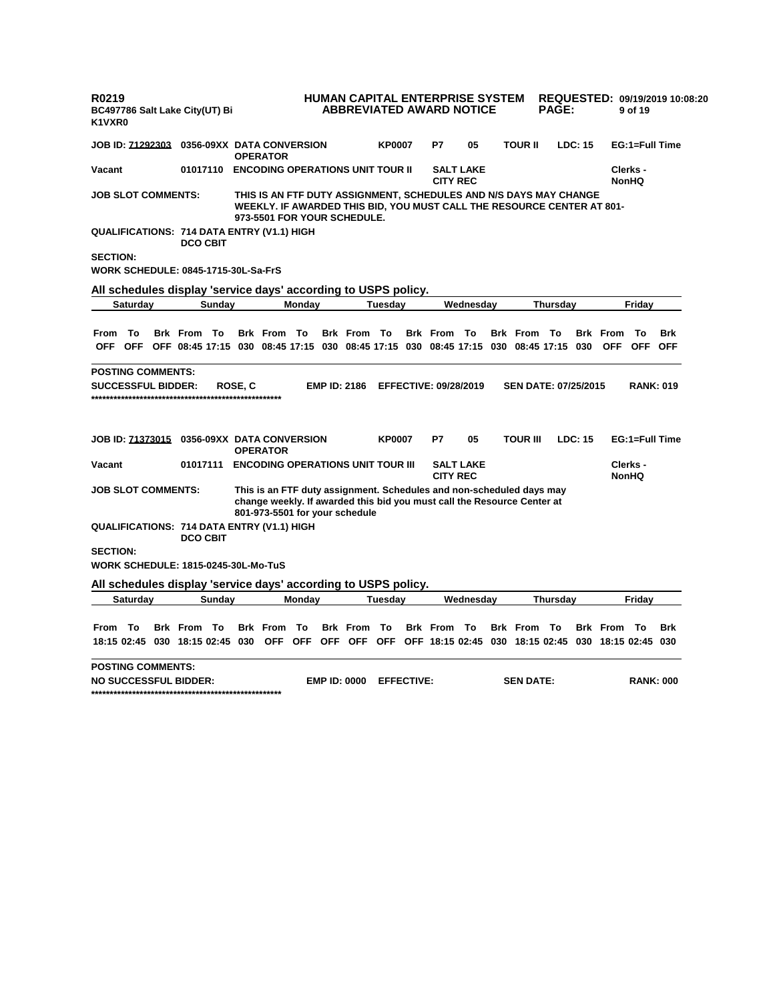| R0219<br>K1VXR0           |                  | BC497786 Salt Lake City(UT) Bi             |          |         |                                                               |        |                                                                |                |                   | HUMAN CAPITAL ENTERPRISE SYSTEM<br><b>ABBREVIATED AWARD NOTICE</b>                                                                              |                  |                                                | <b>PAGE:</b>    |                |                               | 9 of 19                            | REQUESTED: 09/19/2019 10:08:20 |
|---------------------------|------------------|--------------------------------------------|----------|---------|---------------------------------------------------------------|--------|----------------------------------------------------------------|----------------|-------------------|-------------------------------------------------------------------------------------------------------------------------------------------------|------------------|------------------------------------------------|-----------------|----------------|-------------------------------|------------------------------------|--------------------------------|
| <b>JOB ID: 71292303</b>   |                  |                                            |          |         | 0356-09XX DATA CONVERSION<br><b>OPERATOR</b>                  |        |                                                                | <b>KP0007</b>  |                   | P7                                                                                                                                              | 05               | <b>TOUR II</b>                                 |                 | <b>LDC: 15</b> |                               | EG:1=Full Time                     |                                |
| Vacant                    |                  |                                            |          |         |                                                               |        | 01017110 ENCODING OPERATIONS UNIT TOUR II                      |                |                   | <b>CITY REC</b>                                                                                                                                 | <b>SALT LAKE</b> |                                                |                 |                |                               | Clerks -<br><b>NonHQ</b>           |                                |
| <b>JOB SLOT COMMENTS:</b> |                  |                                            |          |         |                                                               |        | 973-5501 FOR YOUR SCHEDULE.                                    |                |                   | THIS IS AN FTF DUTY ASSIGNMENT, SCHEDULES AND N/S DAYS MAY CHANGE<br>WEEKLY. IF AWARDED THIS BID, YOU MUST CALL THE RESOURCE CENTER AT 801-     |                  |                                                |                 |                |                               |                                    |                                |
|                           |                  | <b>DCO CBIT</b>                            |          |         | <b>QUALIFICATIONS: 714 DATA ENTRY (V1.1) HIGH</b>             |        |                                                                |                |                   |                                                                                                                                                 |                  |                                                |                 |                |                               |                                    |                                |
| <b>SECTION:</b>           |                  | <b>WORK SCHEDULE: 0845-1715-30L-Sa-FrS</b> |          |         |                                                               |        |                                                                |                |                   |                                                                                                                                                 |                  |                                                |                 |                |                               |                                    |                                |
|                           |                  |                                            |          |         |                                                               |        | All schedules display 'service days' according to USPS policy. |                |                   |                                                                                                                                                 |                  |                                                |                 |                |                               |                                    |                                |
|                           | Saturday         |                                            | Sunday   |         |                                                               | Monday |                                                                | <b>Tuesday</b> |                   |                                                                                                                                                 | Wednesday        |                                                | Thursday        |                |                               | Friday                             |                                |
| <b>From</b><br><b>OFF</b> | To<br><b>OFF</b> | <b>Brk From To</b>                         |          |         | <b>Brk From To</b>                                            |        | <b>Brk From To</b>                                             |                |                   | <b>Brk</b> From<br>OFF 08:45 17:15 030 08:45 17:15 030 08:45 17:15 030 08:45 17:15 030 08:45 17:15                                              | То               | Brk From To                                    |                 | 030            | <b>Brk</b> From<br><b>OFF</b> | То<br><b>OFF</b>                   | <b>Brk</b><br><b>OFF</b>       |
| <b>SUCCESSFUL BIDDER:</b> |                  |                                            |          | ROSE, C | JOB ID: 71373015 0356-09XX DATA CONVERSION<br><b>OPERATOR</b> |        | <b>EMP ID: 2186</b>                                            | <b>KP0007</b>  |                   | <b>EFFECTIVE: 09/28/2019</b><br>P7                                                                                                              | 05               | <b>SEN DATE: 07/25/2015</b><br><b>TOUR III</b> |                 | LDC: 15        |                               | <b>RANK: 019</b><br>EG:1=Full Time |                                |
| Vacant                    |                  |                                            | 01017111 |         |                                                               |        | <b>ENCODING OPERATIONS UNIT TOUR III</b>                       |                |                   | <b>CITY REC</b>                                                                                                                                 | <b>SALT LAKE</b> |                                                |                 |                |                               | Clerks -<br><b>NonHQ</b>           |                                |
| <b>JOB SLOT COMMENTS:</b> |                  |                                            |          |         |                                                               |        | 801-973-5501 for your schedule                                 |                |                   | This is an FTF duty assignment. Schedules and non-scheduled days may<br>change weekly. If awarded this bid you must call the Resource Center at |                  |                                                |                 |                |                               |                                    |                                |
|                           |                  | <b>DCO CBIT</b>                            |          |         | QUALIFICATIONS: 714 DATA ENTRY (V1.1) HIGH                    |        |                                                                |                |                   |                                                                                                                                                 |                  |                                                |                 |                |                               |                                    |                                |
| <b>SECTION:</b>           |                  | <b>WORK SCHEDULE: 1815-0245-30L-Mo-TuS</b> |          |         |                                                               |        |                                                                |                |                   |                                                                                                                                                 |                  |                                                |                 |                |                               |                                    |                                |
|                           |                  |                                            |          |         |                                                               |        | All schedules display 'service days' according to USPS policy. |                |                   |                                                                                                                                                 |                  |                                                |                 |                |                               |                                    |                                |
|                           | Saturday         |                                            | Sunday   |         |                                                               | Monday |                                                                | <b>Tuesday</b> |                   |                                                                                                                                                 | Wednesday        |                                                | <b>Thursday</b> |                |                               | Friday                             |                                |
| From                      | To               | <b>Brk From To</b>                         |          |         | <b>Brk</b> From<br>18:15 02:45 030 18:15 02:45 030 OFF OFF    | То     | <b>Brk</b> From                                                | To             |                   | <b>Brk</b> From<br>OFF OFF OFF OFF 18:15 02:45 030 18:15 02:45 030 18:15 02:45 030                                                              | То               | <b>Brk</b> From                                | Π٥              |                | <b>Brk</b> From               | - To                               | <b>Brk</b>                     |
| <b>POSTING COMMENTS:</b>  |                  | <b>NO SUCCESSFUL BIDDER:</b>               |          |         |                                                               |        | <b>EMP ID: 0000</b>                                            |                | <b>EFFECTIVE:</b> |                                                                                                                                                 |                  | <b>SEN DATE:</b>                               |                 |                |                               | <b>RANK: 000</b>                   |                                |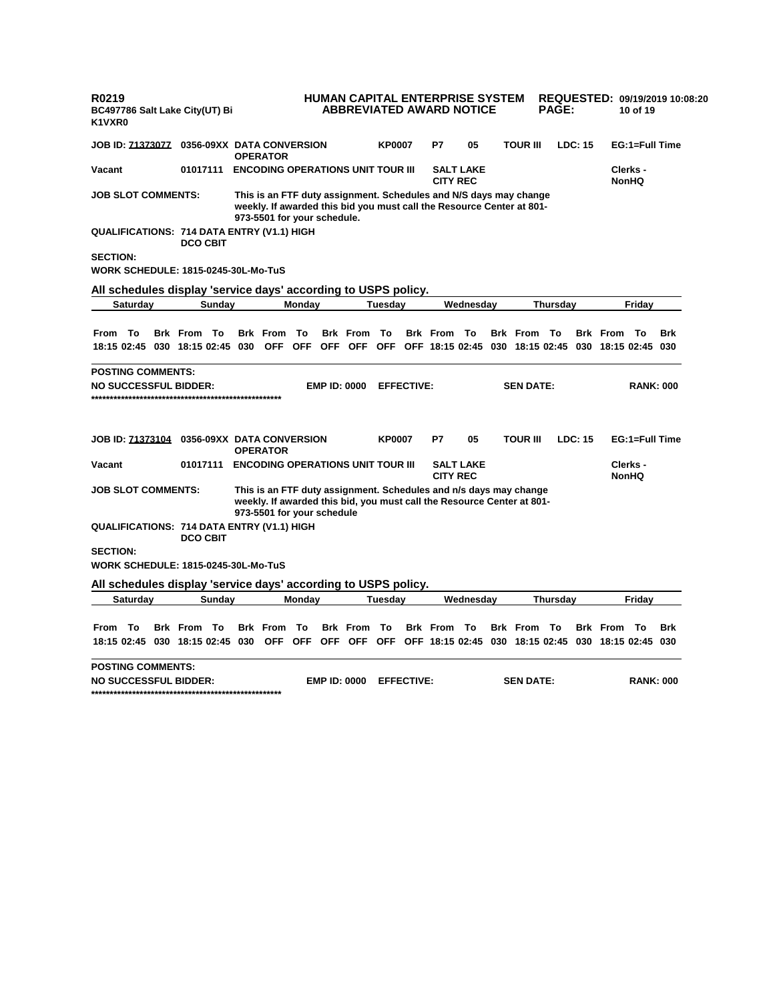| R0219<br>K1VXR0                                                                                                                                                                                                                                                                                                                                                                                                                                                                                                                                                                                                                                                                                                                                                                                                                                                                                                                                                                                                                                                                                                                                                                                                                                                                                                                                                                                                                                                                                                                                                                                                                                                                                                                                                                                                                                                                                                                                                                                                                                                                                                                                                 |  |  | BC497786 Salt Lake City(UT) Bi                    |  |                 |                  | HUMAN CAPITAL ENTERPRISE SYSTEM<br><b>ABBREVIATED AWARD NOTICE</b> |               |    |    |                 | <b>PAGE:</b> |                | 10 of 19       | REQUESTED: 09/19/2019 10:08:20 |
|-----------------------------------------------------------------------------------------------------------------------------------------------------------------------------------------------------------------------------------------------------------------------------------------------------------------------------------------------------------------------------------------------------------------------------------------------------------------------------------------------------------------------------------------------------------------------------------------------------------------------------------------------------------------------------------------------------------------------------------------------------------------------------------------------------------------------------------------------------------------------------------------------------------------------------------------------------------------------------------------------------------------------------------------------------------------------------------------------------------------------------------------------------------------------------------------------------------------------------------------------------------------------------------------------------------------------------------------------------------------------------------------------------------------------------------------------------------------------------------------------------------------------------------------------------------------------------------------------------------------------------------------------------------------------------------------------------------------------------------------------------------------------------------------------------------------------------------------------------------------------------------------------------------------------------------------------------------------------------------------------------------------------------------------------------------------------------------------------------------------------------------------------------------------|--|--|---------------------------------------------------|--|-----------------|------------------|--------------------------------------------------------------------|---------------|----|----|-----------------|--------------|----------------|----------------|--------------------------------|
|                                                                                                                                                                                                                                                                                                                                                                                                                                                                                                                                                                                                                                                                                                                                                                                                                                                                                                                                                                                                                                                                                                                                                                                                                                                                                                                                                                                                                                                                                                                                                                                                                                                                                                                                                                                                                                                                                                                                                                                                                                                                                                                                                                 |  |  | <b>JOB ID: 71373077 0356-09XX DATA CONVERSION</b> |  | <b>OPERATOR</b> |                  |                                                                    | <b>KP0007</b> | P7 | 05 | <b>TOUR III</b> |              | <b>LDC: 15</b> | EG:1=Full Time |                                |
|                                                                                                                                                                                                                                                                                                                                                                                                                                                                                                                                                                                                                                                                                                                                                                                                                                                                                                                                                                                                                                                                                                                                                                                                                                                                                                                                                                                                                                                                                                                                                                                                                                                                                                                                                                                                                                                                                                                                                                                                                                                                                                                                                                 |  |  |                                                   |  |                 |                  |                                                                    |               |    |    |                 |              |                |                |                                |
|                                                                                                                                                                                                                                                                                                                                                                                                                                                                                                                                                                                                                                                                                                                                                                                                                                                                                                                                                                                                                                                                                                                                                                                                                                                                                                                                                                                                                                                                                                                                                                                                                                                                                                                                                                                                                                                                                                                                                                                                                                                                                                                                                                 |  |  |                                                   |  |                 |                  |                                                                    |               |    |    |                 |              |                |                |                                |
|                                                                                                                                                                                                                                                                                                                                                                                                                                                                                                                                                                                                                                                                                                                                                                                                                                                                                                                                                                                                                                                                                                                                                                                                                                                                                                                                                                                                                                                                                                                                                                                                                                                                                                                                                                                                                                                                                                                                                                                                                                                                                                                                                                 |  |  |                                                   |  |                 |                  |                                                                    |               |    |    |                 |              |                |                |                                |
|                                                                                                                                                                                                                                                                                                                                                                                                                                                                                                                                                                                                                                                                                                                                                                                                                                                                                                                                                                                                                                                                                                                                                                                                                                                                                                                                                                                                                                                                                                                                                                                                                                                                                                                                                                                                                                                                                                                                                                                                                                                                                                                                                                 |  |  |                                                   |  |                 |                  |                                                                    |               |    |    |                 |              |                |                |                                |
|                                                                                                                                                                                                                                                                                                                                                                                                                                                                                                                                                                                                                                                                                                                                                                                                                                                                                                                                                                                                                                                                                                                                                                                                                                                                                                                                                                                                                                                                                                                                                                                                                                                                                                                                                                                                                                                                                                                                                                                                                                                                                                                                                                 |  |  |                                                   |  |                 |                  |                                                                    |               |    |    |                 |              |                |                |                                |
|                                                                                                                                                                                                                                                                                                                                                                                                                                                                                                                                                                                                                                                                                                                                                                                                                                                                                                                                                                                                                                                                                                                                                                                                                                                                                                                                                                                                                                                                                                                                                                                                                                                                                                                                                                                                                                                                                                                                                                                                                                                                                                                                                                 |  |  |                                                   |  |                 |                  |                                                                    |               |    |    |                 |              |                |                |                                |
|                                                                                                                                                                                                                                                                                                                                                                                                                                                                                                                                                                                                                                                                                                                                                                                                                                                                                                                                                                                                                                                                                                                                                                                                                                                                                                                                                                                                                                                                                                                                                                                                                                                                                                                                                                                                                                                                                                                                                                                                                                                                                                                                                                 |  |  |                                                   |  | <b>OFF</b>      | To<br><b>OFF</b> |                                                                    | To            |    | To |                 |              |                | - То           | <b>Brk</b>                     |
|                                                                                                                                                                                                                                                                                                                                                                                                                                                                                                                                                                                                                                                                                                                                                                                                                                                                                                                                                                                                                                                                                                                                                                                                                                                                                                                                                                                                                                                                                                                                                                                                                                                                                                                                                                                                                                                                                                                                                                                                                                                                                                                                                                 |  |  |                                                   |  |                 |                  |                                                                    |               |    |    |                 |              |                |                |                                |
|                                                                                                                                                                                                                                                                                                                                                                                                                                                                                                                                                                                                                                                                                                                                                                                                                                                                                                                                                                                                                                                                                                                                                                                                                                                                                                                                                                                                                                                                                                                                                                                                                                                                                                                                                                                                                                                                                                                                                                                                                                                                                                                                                                 |  |  |                                                   |  |                 |                  |                                                                    |               |    |    |                 |              |                |                |                                |
|                                                                                                                                                                                                                                                                                                                                                                                                                                                                                                                                                                                                                                                                                                                                                                                                                                                                                                                                                                                                                                                                                                                                                                                                                                                                                                                                                                                                                                                                                                                                                                                                                                                                                                                                                                                                                                                                                                                                                                                                                                                                                                                                                                 |  |  |                                                   |  |                 |                  |                                                                    |               | P7 | 05 |                 |              |                |                |                                |
|                                                                                                                                                                                                                                                                                                                                                                                                                                                                                                                                                                                                                                                                                                                                                                                                                                                                                                                                                                                                                                                                                                                                                                                                                                                                                                                                                                                                                                                                                                                                                                                                                                                                                                                                                                                                                                                                                                                                                                                                                                                                                                                                                                 |  |  |                                                   |  |                 |                  |                                                                    |               |    |    |                 |              |                |                |                                |
|                                                                                                                                                                                                                                                                                                                                                                                                                                                                                                                                                                                                                                                                                                                                                                                                                                                                                                                                                                                                                                                                                                                                                                                                                                                                                                                                                                                                                                                                                                                                                                                                                                                                                                                                                                                                                                                                                                                                                                                                                                                                                                                                                                 |  |  |                                                   |  |                 |                  |                                                                    |               |    |    |                 |              |                |                |                                |
| <b>ENCODING OPERATIONS UNIT TOUR III</b><br>Vacant<br>01017111<br><b>SALT LAKE</b><br>Clerks -<br><b>CITY REC</b><br><b>NonHQ</b><br><b>JOB SLOT COMMENTS:</b><br>This is an FTF duty assignment. Schedules and N/S days may change<br>weekly. If awarded this bid you must call the Resource Center at 801-<br>973-5501 for your schedule.<br><b>QUALIFICATIONS: 714 DATA ENTRY (V1.1) HIGH</b><br><b>DCO CBIT</b><br><b>SECTION:</b><br><b>WORK SCHEDULE: 1815-0245-30L-Mo-TuS</b><br>All schedules display 'service days' according to USPS policy.<br>Monday<br><b>Tuesday</b><br>Wednesday<br>Thursday<br>Friday<br>Saturday<br>Sunday<br>From To<br><b>Brk From To</b><br><b>Brk</b> From<br><b>Brk</b> From<br><b>Brk</b> From<br><b>Brk From To</b><br><b>Brk</b> From<br>18:15 02:45 030 18:15 02:45 030<br>OFF OFF<br>OFF OFF 18:15 02:45 030 18:15 02:45<br>030 18:15 02:45 030<br><b>POSTING COMMENTS:</b><br><b>NO SUCCESSFUL BIDDER:</b><br><b>EMP ID: 0000</b><br><b>EFFECTIVE:</b><br><b>SEN DATE:</b><br><b>RANK: 000</b><br>JOB ID: 71373104<br><b>TOUR III</b><br>LDC: 15<br>EG:1=Full Time<br>0356-09XX DATA CONVERSION<br><b>KP0007</b><br><b>OPERATOR</b><br><b>ENCODING OPERATIONS UNIT TOUR III</b><br><b>SALT LAKE</b><br>Clerks -<br>Vacant<br>01017111<br><b>CITY REC</b><br><b>NonHQ</b><br>This is an FTF duty assignment. Schedules and n/s days may change<br><b>JOB SLOT COMMENTS:</b><br>weekly. If awarded this bid, you must call the Resource Center at 801-<br>973-5501 for your schedule<br>QUALIFICATIONS: 714 DATA ENTRY (V1.1) HIGH<br><b>DCO CBIT</b><br><b>SECTION:</b><br><b>WORK SCHEDULE: 1815-0245-30L-Mo-TuS</b><br>All schedules display 'service days' according to USPS policy.<br>Saturday<br>Monday<br>Friday<br>Sunday<br><b>Tuesday</b><br>Wednesday<br><b>Thursday</b><br>То<br>To<br>Τo<br>From<br><b>Brk</b> From<br><b>Brk</b> From<br>To<br><b>Brk</b> From<br>To<br><b>Brk</b> From<br><b>Brk</b> From<br>То<br><b>Brk</b> From<br>- To<br><b>Brk</b><br>OFF OFF<br>OFF OFF OFF OFF 18:15 02:45 030 18:15 02:45 030 18:15 02:45 030<br>18:15 02:45 030 18:15 02:45 030<br><b>POSTING COMMENTS:</b> |  |  |                                                   |  |                 |                  |                                                                    |               |    |    |                 |              |                |                |                                |
|                                                                                                                                                                                                                                                                                                                                                                                                                                                                                                                                                                                                                                                                                                                                                                                                                                                                                                                                                                                                                                                                                                                                                                                                                                                                                                                                                                                                                                                                                                                                                                                                                                                                                                                                                                                                                                                                                                                                                                                                                                                                                                                                                                 |  |  |                                                   |  |                 |                  |                                                                    |               |    |    |                 |              |                |                |                                |
|                                                                                                                                                                                                                                                                                                                                                                                                                                                                                                                                                                                                                                                                                                                                                                                                                                                                                                                                                                                                                                                                                                                                                                                                                                                                                                                                                                                                                                                                                                                                                                                                                                                                                                                                                                                                                                                                                                                                                                                                                                                                                                                                                                 |  |  |                                                   |  |                 |                  |                                                                    |               |    |    |                 |              |                |                |                                |
|                                                                                                                                                                                                                                                                                                                                                                                                                                                                                                                                                                                                                                                                                                                                                                                                                                                                                                                                                                                                                                                                                                                                                                                                                                                                                                                                                                                                                                                                                                                                                                                                                                                                                                                                                                                                                                                                                                                                                                                                                                                                                                                                                                 |  |  |                                                   |  |                 |                  |                                                                    |               |    |    |                 |              |                |                |                                |
|                                                                                                                                                                                                                                                                                                                                                                                                                                                                                                                                                                                                                                                                                                                                                                                                                                                                                                                                                                                                                                                                                                                                                                                                                                                                                                                                                                                                                                                                                                                                                                                                                                                                                                                                                                                                                                                                                                                                                                                                                                                                                                                                                                 |  |  |                                                   |  |                 |                  |                                                                    |               |    |    |                 |              |                |                |                                |
| <b>EMP ID: 0000</b><br><b>EFFECTIVE:</b><br><b>SEN DATE:</b><br><b>RANK: 000</b><br><b>NO SUCCESSFUL BIDDER:</b>                                                                                                                                                                                                                                                                                                                                                                                                                                                                                                                                                                                                                                                                                                                                                                                                                                                                                                                                                                                                                                                                                                                                                                                                                                                                                                                                                                                                                                                                                                                                                                                                                                                                                                                                                                                                                                                                                                                                                                                                                                                |  |  |                                                   |  |                 |                  |                                                                    |               |    |    |                 |              |                |                |                                |
|                                                                                                                                                                                                                                                                                                                                                                                                                                                                                                                                                                                                                                                                                                                                                                                                                                                                                                                                                                                                                                                                                                                                                                                                                                                                                                                                                                                                                                                                                                                                                                                                                                                                                                                                                                                                                                                                                                                                                                                                                                                                                                                                                                 |  |  |                                                   |  |                 |                  |                                                                    |               |    |    |                 |              |                |                |                                |
|                                                                                                                                                                                                                                                                                                                                                                                                                                                                                                                                                                                                                                                                                                                                                                                                                                                                                                                                                                                                                                                                                                                                                                                                                                                                                                                                                                                                                                                                                                                                                                                                                                                                                                                                                                                                                                                                                                                                                                                                                                                                                                                                                                 |  |  |                                                   |  |                 |                  |                                                                    |               |    |    |                 |              |                |                |                                |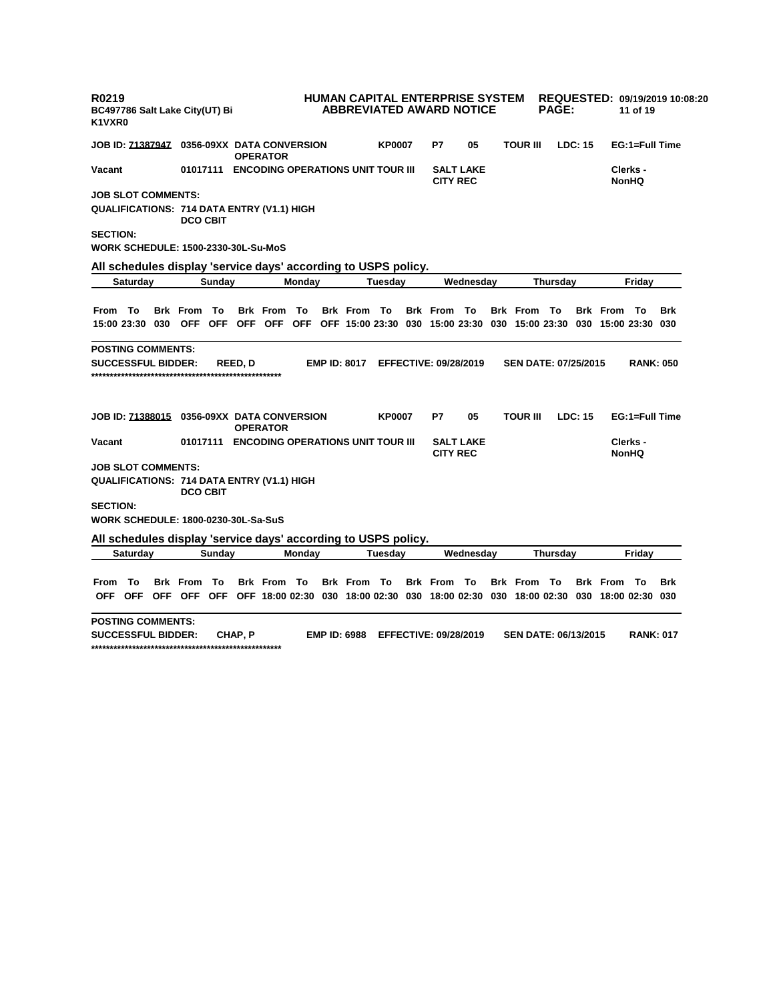| R0219<br>BC497786 Salt Lake City(UT) Bi<br>K1VXR0                                                                     |                       |                                          |                                                                         |                     |               | <b>HUMAN CAPITAL ENTERPRISE SYSTEM</b><br><b>ABBREVIATED AWARD NOTICE</b> |    |                             | <b>PAGE:</b>    |         |                    | 11 of 19                 | REQUESTED: 09/19/2019 10:08:20 |
|-----------------------------------------------------------------------------------------------------------------------|-----------------------|------------------------------------------|-------------------------------------------------------------------------|---------------------|---------------|---------------------------------------------------------------------------|----|-----------------------------|-----------------|---------|--------------------|--------------------------|--------------------------------|
| JOB ID: 71387947  0356-09XX DATA CONVERSION                                                                           |                       | <b>OPERATOR</b>                          |                                                                         |                     | <b>KP0007</b> | P7                                                                        | 05 | <b>TOUR III</b>             |                 | LDC: 15 |                    | EG:1=Full Time           |                                |
| Vacant                                                                                                                | 01017111              | <b>ENCODING OPERATIONS UNIT TOUR III</b> |                                                                         |                     |               | <b>SALT LAKE</b><br><b>CITY REC</b>                                       |    |                             |                 |         |                    | Clerks -<br><b>NonHQ</b> |                                |
| <b>JOB SLOT COMMENTS:</b>                                                                                             |                       |                                          |                                                                         |                     |               |                                                                           |    |                             |                 |         |                    |                          |                                |
| QUALIFICATIONS: 714 DATA ENTRY (V1.1) HIGH                                                                            | <b>DCO CBIT</b>       |                                          |                                                                         |                     |               |                                                                           |    |                             |                 |         |                    |                          |                                |
| <b>SECTION:</b>                                                                                                       |                       |                                          |                                                                         |                     |               |                                                                           |    |                             |                 |         |                    |                          |                                |
| WORK SCHEDULE: 1500-2330-30L-Su-MoS                                                                                   |                       |                                          |                                                                         |                     |               |                                                                           |    |                             |                 |         |                    |                          |                                |
| All schedules display 'service days' according to USPS policy.                                                        |                       |                                          |                                                                         |                     |               |                                                                           |    |                             |                 |         |                    |                          |                                |
| <b>Saturday</b>                                                                                                       | Sunday                |                                          | Monday                                                                  |                     | Tuesdav       | Wednesdav                                                                 |    |                             | <b>Thursdav</b> |         |                    | Fridav                   |                                |
|                                                                                                                       |                       |                                          |                                                                         |                     |               |                                                                           |    |                             |                 |         |                    |                          |                                |
| From To                                                                                                               | <b>Brk From To</b>    | <b>Brk</b> From                          | - To                                                                    | <b>Brk From To</b>  |               | <b>Brk From To</b>                                                        |    | <b>Brk From To</b>          |                 |         | <b>Brk From To</b> |                          | Brk                            |
| 15:00 23:30 030 OFF                                                                                                   |                       | OFF OFF OFF                              | OFF OFF 15:00 23:30 030 15:00 23:30 030 15:00 23:30 030 15:00 23:30 030 |                     |               |                                                                           |    |                             |                 |         |                    |                          |                                |
|                                                                                                                       |                       |                                          |                                                                         |                     |               |                                                                           |    |                             |                 |         |                    |                          |                                |
| <b>POSTING COMMENTS:</b>                                                                                              |                       |                                          |                                                                         |                     |               |                                                                           |    |                             |                 |         |                    |                          |                                |
| <b>SUCCESSFUL BIDDER:</b>                                                                                             |                       | <b>REED.D</b>                            |                                                                         | <b>EMP ID: 8017</b> |               | <b>EFFECTIVE: 09/28/2019</b>                                              |    | <b>SEN DATE: 07/25/2015</b> |                 |         |                    | <b>RANK: 050</b>         |                                |
|                                                                                                                       |                       |                                          |                                                                         |                     |               |                                                                           |    |                             |                 |         |                    |                          |                                |
| JOB ID: 71388015  0356-09XX DATA CONVERSION                                                                           |                       | <b>OPERATOR</b>                          |                                                                         |                     | <b>KP0007</b> | P7                                                                        | 05 | <b>TOUR III</b>             |                 | LDC: 15 |                    | EG:1=Full Time           |                                |
| Vacant                                                                                                                | 01017111              | <b>ENCODING OPERATIONS UNIT TOUR III</b> |                                                                         |                     |               | <b>SALT LAKE</b><br><b>CITY REC</b>                                       |    |                             |                 |         |                    | Clerks -<br><b>NonHQ</b> |                                |
| <b>JOB SLOT COMMENTS:</b>                                                                                             |                       |                                          |                                                                         |                     |               |                                                                           |    |                             |                 |         |                    |                          |                                |
| QUALIFICATIONS: 714 DATA ENTRY (V1.1) HIGH                                                                            | <b>DCO CBIT</b>       |                                          |                                                                         |                     |               |                                                                           |    |                             |                 |         |                    |                          |                                |
| <b>SECTION:</b>                                                                                                       |                       |                                          |                                                                         |                     |               |                                                                           |    |                             |                 |         |                    |                          |                                |
| <b>WORK SCHEDULE: 1800-0230-30L-Sa-SuS</b>                                                                            |                       |                                          |                                                                         |                     |               |                                                                           |    |                             |                 |         |                    |                          |                                |
| All schedules display 'service days' according to USPS policy.                                                        |                       |                                          |                                                                         |                     |               |                                                                           |    |                             |                 |         |                    |                          |                                |
| Saturday                                                                                                              | Sunday                |                                          | Monday                                                                  |                     | Tuesday       | Wednesday                                                                 |    |                             | Thursday        |         |                    | Fridav                   |                                |
|                                                                                                                       |                       |                                          |                                                                         |                     |               |                                                                           |    |                             |                 |         |                    |                          |                                |
| То<br>From<br>OFF OFF OFF OFF OFF OFF 18:00 02:30 030 18:00 02:30 030 18:00 02:30 030 18:00 02:30 030 18:00 02:30 030 | <b>Brk</b> From<br>To | <b>Brk</b> From                          | – То                                                                    | <b>Brk</b> From     | - To          | <b>Brk</b> From<br>То                                                     |    | <b>Brk</b> From             | - To            |         | <b>Brk From To</b> |                          | <b>Brk</b>                     |
|                                                                                                                       |                       |                                          |                                                                         |                     |               |                                                                           |    |                             |                 |         |                    |                          |                                |
| <b>POSTING COMMENTS:</b>                                                                                              |                       |                                          |                                                                         |                     |               |                                                                           |    |                             |                 |         |                    |                          |                                |
| <b>SUCCESSFUL BIDDER:</b>                                                                                             |                       | CHAP, P                                  |                                                                         | <b>EMP ID: 6988</b> |               | <b>EFFECTIVE: 09/28/2019</b>                                              |    | <b>SEN DATE: 06/13/2015</b> |                 |         |                    | <b>RANK: 017</b>         |                                |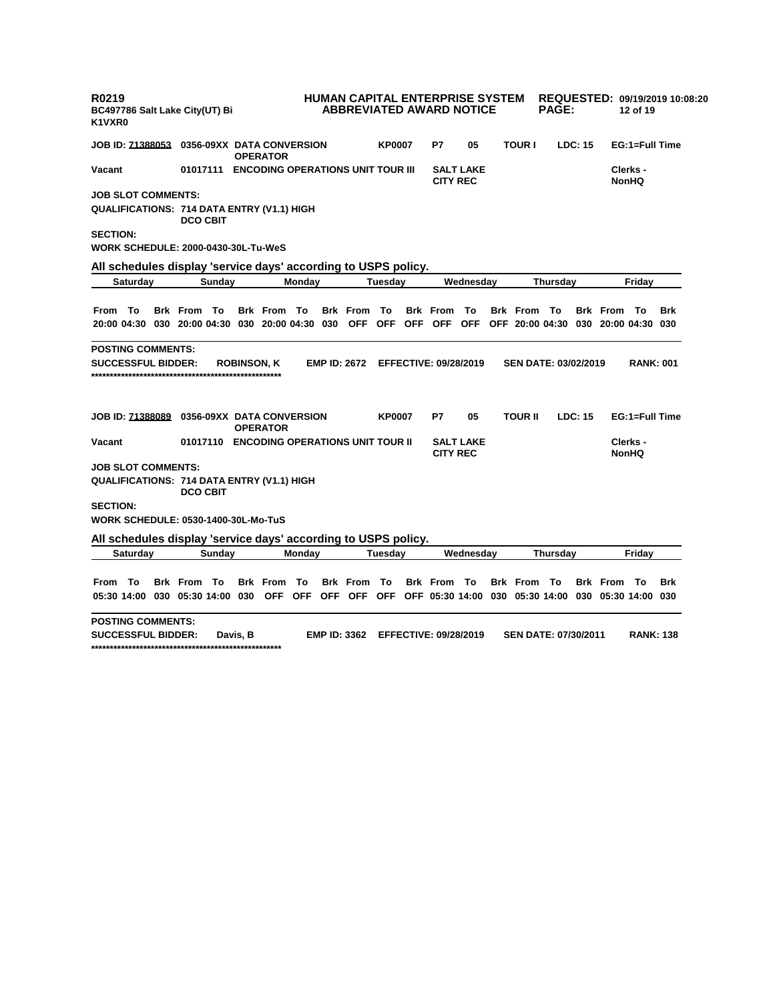| R0219<br>BC497786 Salt Lake City(UT) Bi<br>K1VXR0                                                           |                                            |                    |                    |        |                     |               | HUMAN CAPITAL ENTERPRISE SYSTEM<br><b>ABBREVIATED AWARD NOTICE</b> |                  |                    | <b>PAGE:</b>                |         |                    | 12 of 19          | REQUESTED: 09/19/2019 10:08:20 |
|-------------------------------------------------------------------------------------------------------------|--------------------------------------------|--------------------|--------------------|--------|---------------------|---------------|--------------------------------------------------------------------|------------------|--------------------|-----------------------------|---------|--------------------|-------------------|--------------------------------|
| JOB ID: <u>71388053</u>                                                                                     | 0356-09XX DATA CONVERSION                  |                    | <b>OPERATOR</b>    |        |                     | <b>KP0007</b> | P7                                                                 | 05               | <b>TOUR I</b>      |                             | LDC: 15 |                    | EG:1=Full Time    |                                |
| Vacant                                                                                                      | 01017111 ENCODING OPERATIONS UNIT TOUR III |                    |                    |        |                     |               | <b>CITY REC</b>                                                    | <b>SALT LAKE</b> |                    |                             |         |                    | Clerks -<br>NonHQ |                                |
| <b>JOB SLOT COMMENTS:</b>                                                                                   |                                            |                    |                    |        |                     |               |                                                                    |                  |                    |                             |         |                    |                   |                                |
| QUALIFICATIONS: 714 DATA ENTRY (V1.1) HIGH                                                                  | <b>DCO CBIT</b>                            |                    |                    |        |                     |               |                                                                    |                  |                    |                             |         |                    |                   |                                |
| <b>SECTION:</b>                                                                                             |                                            |                    |                    |        |                     |               |                                                                    |                  |                    |                             |         |                    |                   |                                |
| WORK SCHEDULE: 2000-0430-30L-Tu-WeS                                                                         |                                            |                    |                    |        |                     |               |                                                                    |                  |                    |                             |         |                    |                   |                                |
| All schedules display 'service days' according to USPS policy.                                              |                                            |                    |                    |        |                     |               |                                                                    |                  |                    |                             |         |                    |                   |                                |
| Saturday                                                                                                    | Sunday                                     |                    |                    | Monday |                     | Tuesdav       |                                                                    | Wednesday        |                    | Thursday                    |         |                    | Friday            |                                |
|                                                                                                             |                                            |                    |                    |        |                     |               |                                                                    |                  |                    |                             |         |                    |                   |                                |
| From To                                                                                                     | <b>Brk From To</b>                         |                    | <b>Brk From To</b> |        | <b>Brk</b> From     | То            | <b>Brk</b> From                                                    | То               | <b>Brk From To</b> |                             |         | <b>Brk From To</b> |                   | Brk                            |
| 20:00 04:30 030 20:00 04:30 030 20:00 04:30 030 OFF OFF OFF OFF OFF OFF 20:00 04:30 030 20:00 04:30 030     |                                            |                    |                    |        |                     |               |                                                                    |                  |                    |                             |         |                    |                   |                                |
| POSTING COMMENTS:                                                                                           |                                            |                    |                    |        |                     |               |                                                                    |                  |                    |                             |         |                    |                   |                                |
| <b>SUCCESSFUL BIDDER:</b>                                                                                   |                                            | <b>ROBINSON, K</b> |                    |        | <b>EMP ID: 2672</b> |               | <b>EFFECTIVE: 09/28/2019</b>                                       |                  |                    | <b>SEN DATE: 03/02/2019</b> |         |                    | <b>RANK: 001</b>  |                                |
| JOB ID: 71388089                                                                                            | 0356-09XX DATA CONVERSION                  |                    | <b>OPERATOR</b>    |        |                     | <b>KP0007</b> | P7                                                                 | 05               | <b>TOUR II</b>     |                             | LDC: 15 |                    | EG:1=Full Time    |                                |
| Vacant                                                                                                      | 01017110 ENCODING OPERATIONS UNIT TOUR II  |                    |                    |        |                     |               | <b>CITY REC</b>                                                    | <b>SALT LAKE</b> |                    |                             |         |                    | Clerks -<br>NonHQ |                                |
| <b>JOB SLOT COMMENTS:</b>                                                                                   |                                            |                    |                    |        |                     |               |                                                                    |                  |                    |                             |         |                    |                   |                                |
| QUALIFICATIONS: 714 DATA ENTRY (V1.1) HIGH                                                                  | <b>DCO CBIT</b>                            |                    |                    |        |                     |               |                                                                    |                  |                    |                             |         |                    |                   |                                |
| <b>SECTION:</b>                                                                                             |                                            |                    |                    |        |                     |               |                                                                    |                  |                    |                             |         |                    |                   |                                |
| WORK SCHEDULE: 0530-1400-30L-Mo-TuS                                                                         |                                            |                    |                    |        |                     |               |                                                                    |                  |                    |                             |         |                    |                   |                                |
| All schedules display 'service days' according to USPS policy.                                              |                                            |                    |                    |        |                     |               |                                                                    |                  |                    |                             |         |                    |                   |                                |
| Saturday                                                                                                    | Sunday                                     |                    |                    | Monday |                     | Tuesday       |                                                                    | Wednesday        |                    | Thursday                    |         |                    | Friday            |                                |
|                                                                                                             |                                            |                    |                    |        |                     |               |                                                                    |                  |                    |                             |         |                    |                   |                                |
| From To                                                                                                     | <b>Brk</b> From<br>То                      |                    | <b>Brk</b> From    | То     | <b>Brk</b> From     | То            | <b>Brk</b> From                                                    | Т٥               | <b>Brk</b> From    | То                          |         | <b>Brk</b> From    | Π٥                | <b>Brk</b>                     |
| 05:30 14:00 030 05:30 14:00 030 OFF OFF OFF OFF OFF OFF OFF 05:30 14:00 030 05:30 14:00 030 05:30 14:00 030 |                                            |                    |                    |        |                     |               |                                                                    |                  |                    |                             |         |                    |                   |                                |
| <b>POSTING COMMENTS:</b>                                                                                    |                                            |                    |                    |        |                     |               |                                                                    |                  |                    |                             |         |                    |                   |                                |
|                                                                                                             |                                            |                    |                    |        |                     |               |                                                                    |                  |                    |                             |         |                    |                   |                                |

**SUCCESSFUL BIDDER: Davis, B EMP ID: 3362 EFFECTIVE: 09/28/2019 SEN DATE: 07/30/2011 RANK: 138 \*\*\*\*\*\*\*\*\*\*\*\*\*\*\*\*\*\*\*\*\*\*\*\*\*\*\*\*\*\*\*\*\*\*\*\*\*\*\*\*\*\*\*\*\*\*\*\*\*\*\***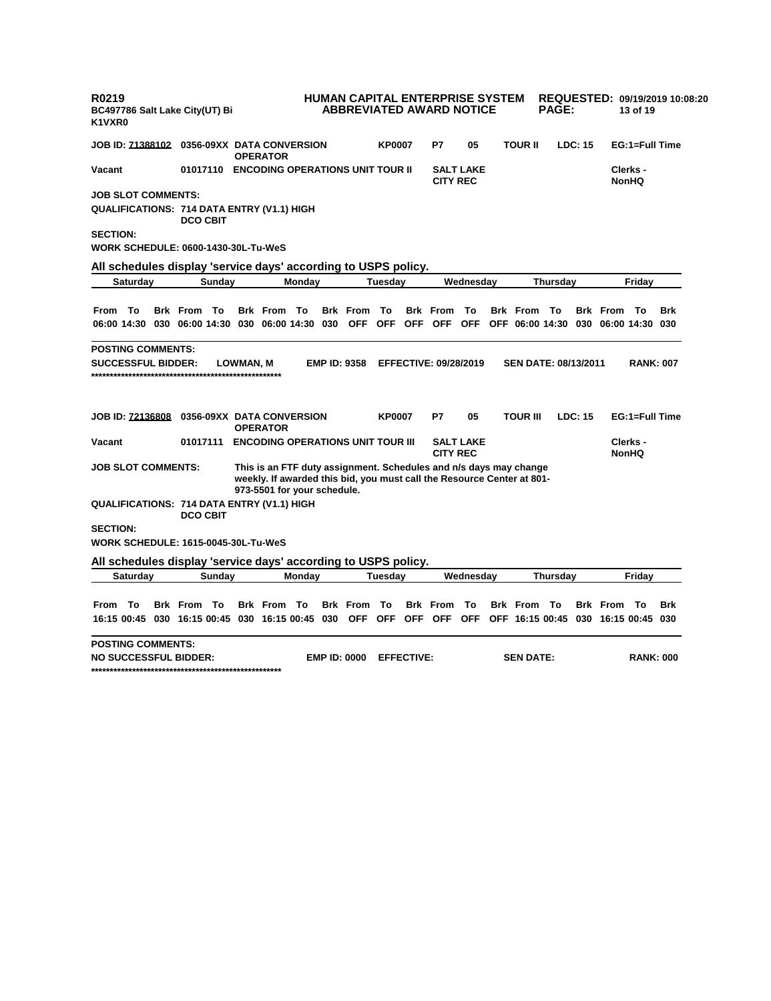| R0219<br>BC497786 Salt Lake City(UT) Bi<br>K1VXR0              |                 |        |           |                             |        | HUMAN CAPITAL ENTERPRISE SYSTEM<br><b>ABBREVIATED AWARD NOTICE</b>                                                                          |               |                   |                              |                  |                                             | <b>PAGE:</b> |                |                     | 13 of 19                 | REQUESTED: 09/19/2019 10:08:20 |
|----------------------------------------------------------------|-----------------|--------|-----------|-----------------------------|--------|---------------------------------------------------------------------------------------------------------------------------------------------|---------------|-------------------|------------------------------|------------------|---------------------------------------------|--------------|----------------|---------------------|--------------------------|--------------------------------|
| <b>JOB ID: 71388102  0356-09XX DATA CONVERSION</b>             |                 |        |           | <b>OPERATOR</b>             |        |                                                                                                                                             | <b>KP0007</b> |                   | P7                           | 05               | <b>TOUR II</b>                              |              | LDC: 15        |                     | EG:1=Full Time           |                                |
| Vacant                                                         | 01017110        |        |           |                             |        | <b>ENCODING OPERATIONS UNIT TOUR II</b>                                                                                                     |               |                   | <b>CITY REC</b>              | <b>SALT LAKE</b> |                                             |              |                |                     | Clerks -<br><b>NonHQ</b> |                                |
| <b>JOB SLOT COMMENTS:</b>                                      |                 |        |           |                             |        |                                                                                                                                             |               |                   |                              |                  |                                             |              |                |                     |                          |                                |
| QUALIFICATIONS: 714 DATA ENTRY (V1.1) HIGH                     | <b>DCO CBIT</b> |        |           |                             |        |                                                                                                                                             |               |                   |                              |                  |                                             |              |                |                     |                          |                                |
| <b>SECTION:</b>                                                |                 |        |           |                             |        |                                                                                                                                             |               |                   |                              |                  |                                             |              |                |                     |                          |                                |
| WORK SCHEDULE: 0600-1430-30L-Tu-WeS                            |                 |        |           |                             |        |                                                                                                                                             |               |                   |                              |                  |                                             |              |                |                     |                          |                                |
| All schedules display 'service days' according to USPS policy. |                 |        |           |                             |        |                                                                                                                                             |               |                   |                              |                  |                                             |              |                |                     |                          |                                |
| <b>Saturday</b>                                                |                 | Sunday |           |                             | Monday |                                                                                                                                             | Tuesday       |                   |                              | Wednesday        |                                             | Thursday     |                |                     | Friday                   |                                |
|                                                                |                 |        |           |                             |        |                                                                                                                                             |               |                   |                              |                  |                                             |              |                |                     |                          |                                |
| From To                                                        | <b>Brk</b> From | To     |           | <b>Brk</b> From             | To     | <b>Brk</b> From                                                                                                                             | To            |                   | <b>Brk</b> From              | To               | <b>Brk</b> From                             | To           |                | <b>Brk</b> From     | To                       | Brk                            |
| 06:00 14:30 030 06:00 14:30 030 06:00 14:30 030                |                 |        |           |                             |        | <b>OFF</b>                                                                                                                                  |               | OFF OFF           | OFF                          | <b>OFF</b>       | OFF 06:00 14:30                             |              |                | 030 06:00 14:30 030 |                          |                                |
| <b>POSTING COMMENTS:</b>                                       |                 |        |           |                             |        |                                                                                                                                             |               |                   |                              |                  |                                             |              |                |                     |                          |                                |
| <b>SUCCESSFUL BIDDER:</b>                                      |                 |        | LOWMAN, M |                             |        | <b>EMP ID: 9358</b>                                                                                                                         |               |                   | <b>EFFECTIVE: 09/28/2019</b> |                  | <b>SEN DATE: 08/13/2011</b>                 |              |                |                     | <b>RANK: 007</b>         |                                |
| JOB ID: 72136808  0356-09XX DATA CONVERSION                    |                 |        |           |                             |        |                                                                                                                                             | <b>KP0007</b> |                   | P7                           | 05               | TOUR III                                    |              | <b>LDC: 15</b> |                     | EG:1=Full Time           |                                |
|                                                                |                 |        |           | <b>OPERATOR</b>             |        |                                                                                                                                             |               |                   |                              |                  |                                             |              |                |                     |                          |                                |
| Vacant                                                         | 01017111        |        |           |                             |        | <b>ENCODING OPERATIONS UNIT TOUR III</b>                                                                                                    |               |                   | <b>CITY REC</b>              | <b>SALT LAKE</b> |                                             |              |                |                     | Clerks -<br><b>NonHQ</b> |                                |
| <b>JOB SLOT COMMENTS:</b>                                      |                 |        |           | 973-5501 for your schedule. |        | This is an FTF duty assignment. Schedules and n/s days may change<br>weekly. If awarded this bid, you must call the Resource Center at 801- |               |                   |                              |                  |                                             |              |                |                     |                          |                                |
| <b>QUALIFICATIONS: 714 DATA ENTRY (V1.1) HIGH</b>              | <b>DCO CBIT</b> |        |           |                             |        |                                                                                                                                             |               |                   |                              |                  |                                             |              |                |                     |                          |                                |
| <b>SECTION:</b>                                                |                 |        |           |                             |        |                                                                                                                                             |               |                   |                              |                  |                                             |              |                |                     |                          |                                |
| <b>WORK SCHEDULE: 1615-0045-30L-Tu-WeS</b>                     |                 |        |           |                             |        |                                                                                                                                             |               |                   |                              |                  |                                             |              |                |                     |                          |                                |
| All schedules display 'service days' according to USPS policy. |                 |        |           |                             |        |                                                                                                                                             |               |                   |                              |                  |                                             |              |                |                     |                          |                                |
| <b>Saturday</b>                                                |                 | Sunday |           |                             | Monday |                                                                                                                                             | Tuesday       |                   |                              | Wednesday        |                                             | Thursday     |                |                     | Friday                   |                                |
|                                                                |                 |        |           |                             |        |                                                                                                                                             |               |                   |                              |                  |                                             |              |                |                     |                          |                                |
| - To<br>From                                                   | <b>Brk</b> From | - To   |           | <b>Brk</b> From             | То     | <b>Brk</b> From                                                                                                                             | To            |                   | <b>Brk</b> From              | To               | <b>Brk</b> From                             | - To         |                | <b>Brk</b> From     | - Το                     | Brk                            |
| 16:15 00:45 030 16:15 00:45 030 16:15 00:45 030 OFF            |                 |        |           |                             |        |                                                                                                                                             |               | OFF OFF           |                              |                  | OFF OFF OFF 16:15 00:45 030 16:15 00:45 030 |              |                |                     |                          |                                |
| <b>POSTING COMMENTS:</b>                                       |                 |        |           |                             |        |                                                                                                                                             |               |                   |                              |                  |                                             |              |                |                     |                          |                                |
| <b>NO SUCCESSFUL BIDDER:</b>                                   |                 |        |           |                             |        | <b>EMP ID: 0000</b>                                                                                                                         |               | <b>EFFECTIVE:</b> |                              |                  | <b>SEN DATE:</b>                            |              |                |                     | <b>RANK: 000</b>         |                                |
|                                                                |                 |        |           |                             |        |                                                                                                                                             |               |                   |                              |                  |                                             |              |                |                     |                          |                                |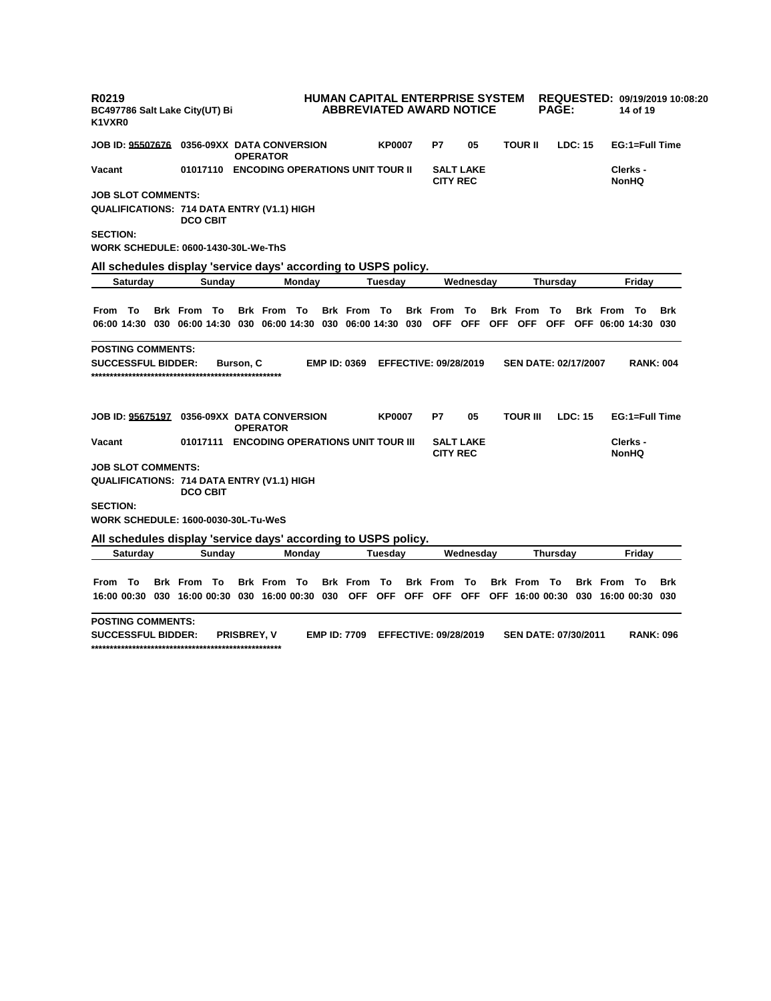| R0219<br>BC497786 Salt Lake City(UT) Bi<br>K1VXR0               |                                            |                 |                    |                     | HUMAN CAPITAL ENTERPRISE SYSTEM<br><b>ABBREVIATED AWARD NOTICE</b> |               |            |                              |                  |                             | <b>PAGE:</b> |         |                                     | 14 of 19                 | REQUESTED: 09/19/2019 10:08:20 |
|-----------------------------------------------------------------|--------------------------------------------|-----------------|--------------------|---------------------|--------------------------------------------------------------------|---------------|------------|------------------------------|------------------|-----------------------------|--------------|---------|-------------------------------------|--------------------------|--------------------------------|
| JOB ID: 95507676 0356-09XX  DATA CONVERSION                     |                                            | <b>OPERATOR</b> |                    |                     |                                                                    | <b>KP0007</b> |            | P7                           | 05               | <b>TOUR II</b>              |              | LDC: 15 |                                     | EG:1=Full Time           |                                |
| Vacant                                                          | 01017110 ENCODING OPERATIONS UNIT TOUR II  |                 |                    |                     |                                                                    |               |            | <b>CITY REC</b>              | <b>SALT LAKE</b> |                             |              |         |                                     | Clerks -<br>NonHQ        |                                |
| <b>JOB SLOT COMMENTS:</b>                                       |                                            |                 |                    |                     |                                                                    |               |            |                              |                  |                             |              |         |                                     |                          |                                |
| QUALIFICATIONS: 714 DATA ENTRY (V1.1) HIGH                      | <b>DCO CBIT</b>                            |                 |                    |                     |                                                                    |               |            |                              |                  |                             |              |         |                                     |                          |                                |
| <b>SECTION:</b>                                                 |                                            |                 |                    |                     |                                                                    |               |            |                              |                  |                             |              |         |                                     |                          |                                |
| WORK SCHEDULE: 0600-1430-30L-We-ThS                             |                                            |                 |                    |                     |                                                                    |               |            |                              |                  |                             |              |         |                                     |                          |                                |
| All schedules display 'service days' according to USPS policy.  |                                            |                 |                    |                     |                                                                    |               |            |                              |                  |                             |              |         |                                     |                          |                                |
| Saturday                                                        | Sunday                                     |                 | Monday             |                     |                                                                    | Tuesdav       |            |                              | Wednesday        |                             | Thursday     |         |                                     | Fridav                   |                                |
|                                                                 |                                            |                 |                    |                     |                                                                    |               |            |                              |                  |                             |              |         |                                     |                          |                                |
| From To                                                         | <b>Brk From To</b>                         |                 | <b>Brk From To</b> |                     | Brk From To                                                        |               |            | <b>Brk</b> From              | To               | <b>Brk</b> From             | То           |         | <b>Brk From To</b>                  |                          | Brk                            |
| 06:00 14:30 030 06:00 14:30 030 06:00 14:30 030 06:00 14:30 030 |                                            |                 |                    |                     |                                                                    |               |            | <b>OFF</b>                   | OFF              | OFF OFF                     |              |         | OFF OFF 06:00 14:30 030             |                          |                                |
| <b>POSTING COMMENTS:</b>                                        |                                            |                 |                    |                     |                                                                    |               |            |                              |                  |                             |              |         |                                     |                          |                                |
| <b>SUCCESSFUL BIDDER:</b>                                       |                                            | Burson, C       |                    | <b>EMP ID: 0369</b> |                                                                    |               |            | <b>EFFECTIVE: 09/28/2019</b> |                  | <b>SEN DATE: 02/17/2007</b> |              |         |                                     | <b>RANK: 004</b>         |                                |
| JOB ID: 95675197 0356-09XX  DATA CONVERSION                     |                                            | <b>OPERATOR</b> |                    |                     |                                                                    | <b>KP0007</b> |            | P7                           | 05               | <b>TOUR III</b>             |              | LDC: 15 |                                     | EG:1=Full Time           |                                |
| Vacant                                                          | 01017111 ENCODING OPERATIONS UNIT TOUR III |                 |                    |                     |                                                                    |               |            | <b>CITY REC</b>              | <b>SALT LAKE</b> |                             |              |         |                                     | Clerks -<br><b>NonHQ</b> |                                |
| <b>JOB SLOT COMMENTS:</b>                                       |                                            |                 |                    |                     |                                                                    |               |            |                              |                  |                             |              |         |                                     |                          |                                |
| QUALIFICATIONS: 714 DATA ENTRY (V1.1) HIGH                      | <b>DCO CBIT</b>                            |                 |                    |                     |                                                                    |               |            |                              |                  |                             |              |         |                                     |                          |                                |
| <b>SECTION:</b>                                                 |                                            |                 |                    |                     |                                                                    |               |            |                              |                  |                             |              |         |                                     |                          |                                |
| WORK SCHEDULE: 1600-0030-30L-Tu-WeS                             |                                            |                 |                    |                     |                                                                    |               |            |                              |                  |                             |              |         |                                     |                          |                                |
| All schedules display 'service days' according to USPS policy.  |                                            |                 |                    |                     |                                                                    |               |            |                              |                  |                             |              |         |                                     |                          |                                |
| <b>Saturday</b>                                                 | Sunday                                     |                 | Monday             |                     |                                                                    | Tuesdav       |            |                              | Wednesday        |                             | Thursday     |         |                                     | Fridav                   |                                |
|                                                                 |                                            |                 |                    |                     |                                                                    |               |            |                              |                  |                             |              |         |                                     |                          |                                |
| From To                                                         | <b>Brk From To</b>                         |                 | Brk From To        |                     | <b>Brk</b> From                                                    | То            |            | <b>Brk</b> From              | To               | <b>Brk</b> From             | То           |         | <b>Brk</b> From                     | – То                     | Brk                            |
| 16:00 00:30 030 16:00 00:30 030 16:00 00:30                     |                                            |                 |                    | 030                 | <b>OFF</b>                                                         | <b>OFF</b>    | <b>OFF</b> | OFF                          | <b>OFF</b>       |                             |              |         | OFF 16:00 00:30 030 16:00 00:30 030 |                          |                                |
| POSTING COMMENTS:                                               |                                            |                 |                    |                     |                                                                    |               |            |                              |                  |                             |              |         |                                     |                          |                                |

**SUCCESSFUL BIDDER: PRISBREY, V EMP ID: 7709 EFFECTIVE: 09/28/2019 SEN DATE: 07/30/2011 RANK: 096 \*\*\*\*\*\*\*\*\*\*\*\*\*\*\*\*\*\*\*\*\*\*\*\*\*\*\*\*\*\*\*\*\*\*\*\*\*\*\*\*\*\*\*\*\*\*\*\*\*\*\***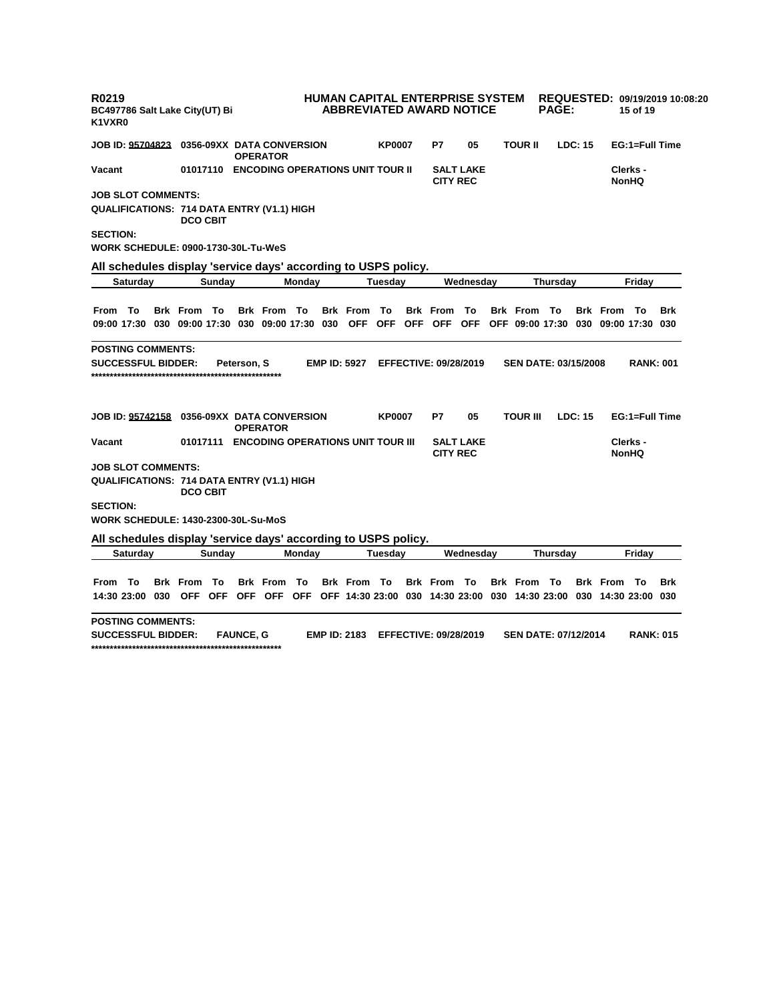| R0219<br>BC497786 Salt Lake City(UT) Bi<br>K1VXR0                                                       |                                            |                    |        |                     |               | <b>HUMAN CAPITAL ENTERPRISE SYSTEM</b><br><b>ABBREVIATED AWARD NOTICE</b> |                  |                             | <b>PAGE:</b>    |         | 15 of 19                                                            | REQUESTED: 09/19/2019 10:08:20 |            |
|---------------------------------------------------------------------------------------------------------|--------------------------------------------|--------------------|--------|---------------------|---------------|---------------------------------------------------------------------------|------------------|-----------------------------|-----------------|---------|---------------------------------------------------------------------|--------------------------------|------------|
| JOB ID: <u>95704823</u> 0356-09XX  DATA CONVERSION                                                      |                                            | <b>OPERATOR</b>    |        |                     | <b>KP0007</b> | P7                                                                        | 05               | <b>TOUR II</b>              |                 | LDC: 15 |                                                                     | EG:1=Full Time                 |            |
| Vacant                                                                                                  | 01017110 ENCODING OPERATIONS UNIT TOUR II  |                    |        |                     |               | <b>CITY REC</b>                                                           | <b>SALT LAKE</b> |                             |                 |         |                                                                     | Clerks -<br><b>NonHQ</b>       |            |
| <b>JOB SLOT COMMENTS:</b>                                                                               |                                            |                    |        |                     |               |                                                                           |                  |                             |                 |         |                                                                     |                                |            |
| QUALIFICATIONS: 714 DATA ENTRY (V1.1) HIGH                                                              | <b>DCO CBIT</b>                            |                    |        |                     |               |                                                                           |                  |                             |                 |         |                                                                     |                                |            |
| <b>SECTION:</b>                                                                                         |                                            |                    |        |                     |               |                                                                           |                  |                             |                 |         |                                                                     |                                |            |
| WORK SCHEDULE: 0900-1730-30L-Tu-WeS                                                                     |                                            |                    |        |                     |               |                                                                           |                  |                             |                 |         |                                                                     |                                |            |
| All schedules display 'service days' according to USPS policy.                                          |                                            |                    |        |                     |               |                                                                           |                  |                             |                 |         |                                                                     |                                |            |
| Saturday                                                                                                | Sunday                                     |                    | Monday |                     | Tuesdav       |                                                                           | Wednesday        |                             | Thursday        |         |                                                                     | Fridav                         |            |
|                                                                                                         |                                            |                    |        |                     |               |                                                                           |                  |                             |                 |         |                                                                     |                                |            |
| From To                                                                                                 | <b>Brk From To</b>                         | <b>Brk From To</b> |        | <b>Brk</b> From     | То            | <b>Brk</b> From                                                           | То               | <b>Brk From To</b>          |                 |         | <b>Brk From To</b>                                                  |                                | Brk        |
| 09:00 17:30 030 09:00 17:30 030 09:00 17:30 030 OFF OFF OFF OFF OFF OFF 09:00 17:30 030 09:00 17:30 030 |                                            |                    |        |                     |               |                                                                           |                  |                             |                 |         |                                                                     |                                |            |
| <b>POSTING COMMENTS:</b>                                                                                |                                            |                    |        |                     |               |                                                                           |                  |                             |                 |         |                                                                     |                                |            |
| <b>SUCCESSFUL BIDDER:</b>                                                                               |                                            | Peterson, S        |        | <b>EMP ID: 5927</b> |               | <b>EFFECTIVE: 09/28/2019</b>                                              |                  | <b>SEN DATE: 03/15/2008</b> |                 |         |                                                                     | <b>RANK: 001</b>               |            |
| JOB ID: <u>95742158</u> 0356-09XX  DATA CONVERSION                                                      |                                            | <b>OPERATOR</b>    |        |                     | <b>KP0007</b> | P7                                                                        | 05               | <b>TOUR III</b>             |                 | LDC: 15 |                                                                     | EG:1=Full Time                 |            |
| Vacant                                                                                                  | 01017111 ENCODING OPERATIONS UNIT TOUR III |                    |        |                     |               | <b>CITY REC</b>                                                           | <b>SALT LAKE</b> |                             |                 |         |                                                                     | Clerks -<br><b>NonHQ</b>       |            |
| <b>JOB SLOT COMMENTS:</b>                                                                               |                                            |                    |        |                     |               |                                                                           |                  |                             |                 |         |                                                                     |                                |            |
| QUALIFICATIONS: 714 DATA ENTRY (V1.1) HIGH                                                              | <b>DCO CBIT</b>                            |                    |        |                     |               |                                                                           |                  |                             |                 |         |                                                                     |                                |            |
| <b>SECTION:</b>                                                                                         |                                            |                    |        |                     |               |                                                                           |                  |                             |                 |         |                                                                     |                                |            |
| WORK SCHEDULE: 1430-2300-30L-Su-MoS                                                                     |                                            |                    |        |                     |               |                                                                           |                  |                             |                 |         |                                                                     |                                |            |
| All schedules display 'service days' according to USPS policy.                                          |                                            |                    |        |                     |               |                                                                           |                  |                             |                 |         |                                                                     |                                |            |
| <b>Saturday</b>                                                                                         | Sunday                                     |                    | Monday |                     | Tuesdav       |                                                                           | Wednesday        |                             | <b>Thursdav</b> |         |                                                                     | Fridav                         |            |
|                                                                                                         |                                            |                    |        |                     |               |                                                                           |                  |                             |                 |         |                                                                     |                                |            |
| From To                                                                                                 | <b>Brk</b> From<br>- То                    | <b>Brk</b> From    | То     | <b>Brk From To</b>  |               | <b>Brk From To</b>                                                        |                  | <b>Brk From To</b>          |                 |         | <b>Brk From To</b>                                                  |                                | <b>Brk</b> |
| 14:30 23:00 030                                                                                         | OFF OFF                                    | OFF OFF OFF        |        |                     |               |                                                                           |                  |                             |                 |         | OFF 14:30 23:00 030 14:30 23:00 030 14:30 23:00 030 14:30 23:00 030 |                                |            |
| POSTING COMMENTS:<br>CHAACCCCHI DINNED.                                                                 |                                            | <b>CAUNCE C</b>    |        | <b>CMD ID: 3402</b> |               | EEEECTIVE, 00/20/2010                                                     |                  | <b>CENLDATE, 07/40/2044</b> |                 |         |                                                                     | <b>DANI</b> 645                |            |

**SUCCESSFUL BIDDER: FAUNCE, G EMP ID: 2183 EFFECTIVE: 09/28/2019 SEN DATE: 07/12/2014 RANK: 015 \*\*\*\*\*\*\*\*\*\*\*\*\*\*\*\*\*\*\*\*\*\*\*\*\*\*\*\*\*\*\*\*\*\*\*\*\*\*\*\*\*\*\*\*\*\*\*\*\*\*\***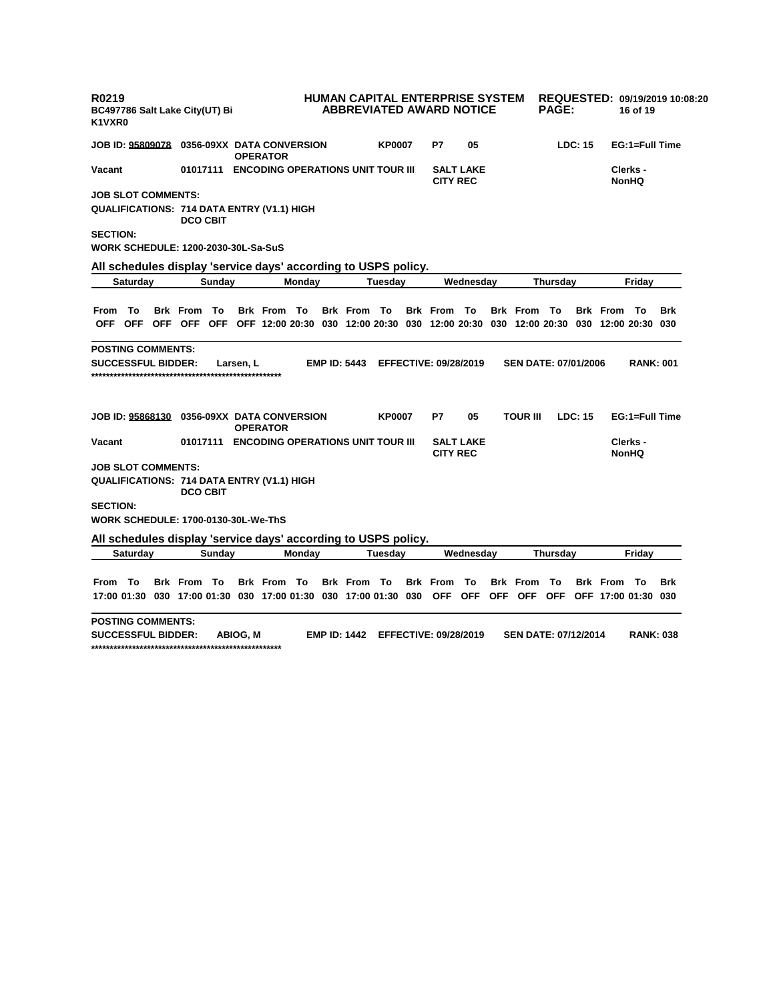| R0219<br>K1VXR0                                                                             |                                            |  | BC497786 Salt Lake City(UT) Bi                                            |        |           |                    |                                            |                     |               | <b>HUMAN CAPITAL ENTERPRISE SYSTEM</b><br><b>ABBREVIATED AWARD NOTICE</b> |                                     |  |                             | <b>PAGE:</b> |         | 16 of 19                                                                                                | REQUESTED: 09/19/2019 10:08:20 |            |
|---------------------------------------------------------------------------------------------|--------------------------------------------|--|---------------------------------------------------------------------------|--------|-----------|--------------------|--------------------------------------------|---------------------|---------------|---------------------------------------------------------------------------|-------------------------------------|--|-----------------------------|--------------|---------|---------------------------------------------------------------------------------------------------------|--------------------------------|------------|
|                                                                                             | JOB ID: 95809078                           |  |                                                                           |        |           | <b>OPERATOR</b>    | 0356-09XX DATA CONVERSION                  |                     | <b>KP0007</b> | P7                                                                        | 05                                  |  |                             |              | LDC: 15 |                                                                                                         | EG:1=Full Time                 |            |
| Vacant                                                                                      | 01017111 ENCODING OPERATIONS UNIT TOUR III |  |                                                                           |        |           |                    |                                            |                     |               |                                                                           | <b>SALT LAKE</b><br><b>CITY REC</b> |  |                             |              |         | Clerks -<br><b>NonHQ</b>                                                                                |                                |            |
|                                                                                             | <b>JOB SLOT COMMENTS:</b>                  |  |                                                                           |        |           |                    |                                            |                     |               |                                                                           |                                     |  |                             |              |         |                                                                                                         |                                |            |
|                                                                                             |                                            |  | QUALIFICATIONS: 714 DATA ENTRY (V1.1) HIGH<br><b>DCO CBIT</b>             |        |           |                    |                                            |                     |               |                                                                           |                                     |  |                             |              |         |                                                                                                         |                                |            |
| <b>SECTION:</b>                                                                             |                                            |  |                                                                           |        |           |                    |                                            |                     |               |                                                                           |                                     |  |                             |              |         |                                                                                                         |                                |            |
|                                                                                             |                                            |  | WORK SCHEDULE: 1200-2030-30L-Sa-SuS                                       |        |           |                    |                                            |                     |               |                                                                           |                                     |  |                             |              |         |                                                                                                         |                                |            |
|                                                                                             |                                            |  | All schedules display 'service days' according to USPS policy.            |        |           |                    |                                            |                     |               |                                                                           |                                     |  |                             |              |         |                                                                                                         |                                |            |
|                                                                                             | Saturday                                   |  |                                                                           | Sunday |           |                    | Monday                                     |                     | Tuesdav       |                                                                           | Wednesday                           |  |                             | Thursday     |         | Fridav                                                                                                  |                                |            |
|                                                                                             |                                            |  |                                                                           |        |           |                    |                                            |                     |               |                                                                           |                                     |  |                             |              |         |                                                                                                         |                                |            |
| From To                                                                                     |                                            |  | <b>Brk</b> From                                                           | To     |           | <b>Brk From To</b> |                                            | <b>Brk From To</b>  |               | <b>Brk From To</b>                                                        |                                     |  | <b>Brk From To</b>          |              |         | <b>Brk From To</b>                                                                                      |                                | <b>Brk</b> |
|                                                                                             |                                            |  |                                                                           |        |           |                    |                                            |                     |               |                                                                           |                                     |  |                             |              |         | OFF OFF OFF OFF OFF OFF 12:00 20:30 030 12:00 20:30 030 12:00 20:30 030 12:00 20:30 030 12:00 20:30 030 |                                |            |
|                                                                                             | <b>POSTING COMMENTS:</b>                   |  |                                                                           |        |           |                    |                                            |                     |               |                                                                           |                                     |  |                             |              |         |                                                                                                         |                                |            |
|                                                                                             | <b>SUCCESSFUL BIDDER:</b>                  |  |                                                                           |        | Larsen, L |                    |                                            | <b>EMP ID: 5443</b> |               | <b>EFFECTIVE: 09/28/2019</b>                                              |                                     |  | <b>SEN DATE: 07/01/2006</b> |              |         |                                                                                                         | <b>RANK: 001</b>               |            |
|                                                                                             | JOB ID: 95868130                           |  |                                                                           |        |           | <b>OPERATOR</b>    | 0356-09XX DATA CONVERSION                  |                     | <b>KP0007</b> | P7                                                                        | 05                                  |  | <b>TOUR III</b>             |              | LDC: 15 |                                                                                                         | EG:1=Full Time                 |            |
| Vacant                                                                                      |                                            |  |                                                                           |        |           |                    | 01017111 ENCODING OPERATIONS UNIT TOUR III |                     |               | <b>CITY REC</b>                                                           | <b>SALT LAKE</b>                    |  |                             |              |         |                                                                                                         | Clerks -<br><b>NonHQ</b>       |            |
|                                                                                             | <b>JOB SLOT COMMENTS:</b>                  |  |                                                                           |        |           |                    |                                            |                     |               |                                                                           |                                     |  |                             |              |         |                                                                                                         |                                |            |
|                                                                                             |                                            |  | QUALIFICATIONS: 714 DATA ENTRY (V1.1) HIGH<br><b>DCO CBIT</b>             |        |           |                    |                                            |                     |               |                                                                           |                                     |  |                             |              |         |                                                                                                         |                                |            |
| <b>SECTION:</b>                                                                             |                                            |  |                                                                           |        |           |                    |                                            |                     |               |                                                                           |                                     |  |                             |              |         |                                                                                                         |                                |            |
|                                                                                             |                                            |  | WORK SCHEDULE: 1700-0130-30L-We-ThS                                       |        |           |                    |                                            |                     |               |                                                                           |                                     |  |                             |              |         |                                                                                                         |                                |            |
|                                                                                             |                                            |  |                                                                           |        |           |                    |                                            |                     |               |                                                                           |                                     |  |                             |              |         |                                                                                                         |                                |            |
| All schedules display 'service days' according to USPS policy.<br><b>Saturday</b><br>Sunday |                                            |  |                                                                           |        |           | Monday             |                                            | Tuesday             |               | Wednesday                                                                 |                                     |  | Thursday                    |              |         | Friday                                                                                                  |                                |            |
|                                                                                             |                                            |  |                                                                           |        |           |                    |                                            |                     |               |                                                                           |                                     |  |                             |              |         |                                                                                                         |                                |            |
| From To                                                                                     |                                            |  | <b>Brk From To</b>                                                        |        |           | <b>Brk From To</b> |                                            | <b>Brk From To</b>  |               | <b>Brk</b> From                                                           | - То                                |  | <b>Brk</b> From             | Το           |         | <b>Brk From To</b>                                                                                      |                                | <b>Brk</b> |
|                                                                                             |                                            |  | 17:00 01:30  030  17:00  01:30  030  17:00  01:30  030  17:00  01:30  030 |        |           |                    |                                            |                     |               | OFF OFF                                                                   |                                     |  | OFF OFF OFF                 |              |         | OFF 17:00 01:30 030                                                                                     |                                |            |
|                                                                                             | <b>POSTING COMMENTS:</b>                   |  |                                                                           |        |           |                    |                                            |                     |               |                                                                           |                                     |  |                             |              |         |                                                                                                         |                                |            |

**SUCCESSFUL BIDDER: ABIOG, M EMP ID: 1442 EFFECTIVE: 09/28/2019 SEN DATE: 07/12/2014 RANK: 038 \*\*\*\*\*\*\*\*\*\*\*\*\*\*\*\*\*\*\*\*\*\*\*\*\*\*\*\*\*\*\*\*\*\*\*\*\*\*\*\*\*\*\*\*\*\*\*\*\*\*\***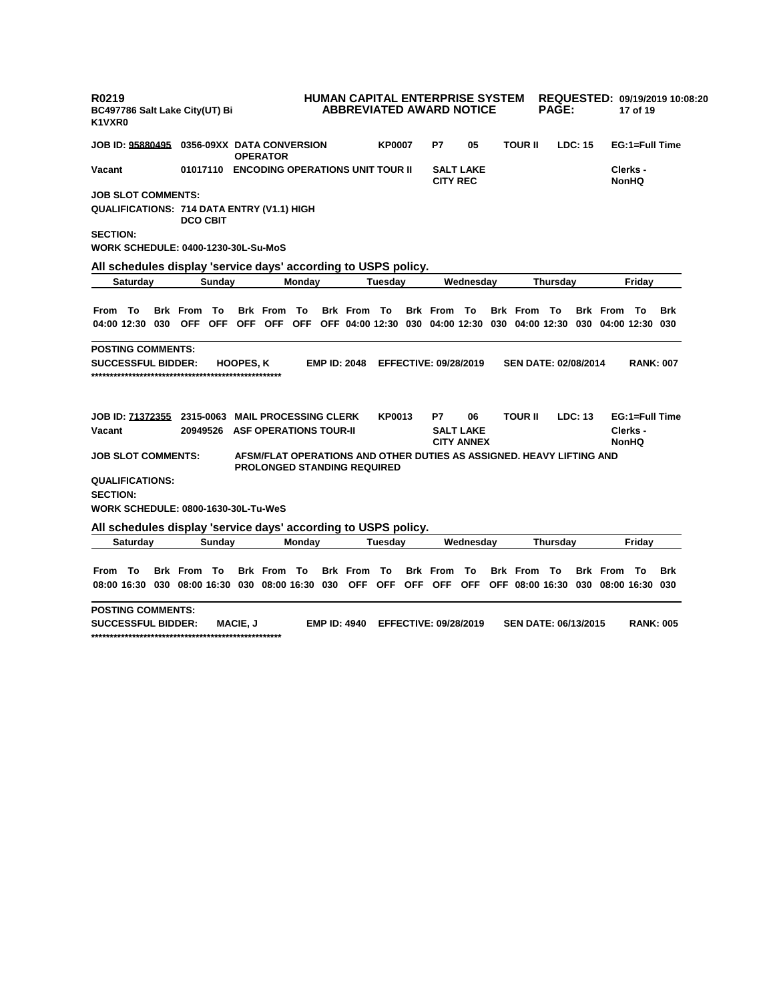| R0219<br>BC497786 Salt Lake City(UT) Bi<br>K1VXR0              |                    |                  |                                                                                                            |                     |               | <b>HUMAN CAPITAL ENTERPRISE SYSTEM</b><br><b>ABBREVIATED AWARD NOTICE</b> |                                       |                             | <b>PAGE:</b> |                |                                     | 17 of 19                 | REQUESTED: 09/19/2019 10:08:20 |
|----------------------------------------------------------------|--------------------|------------------|------------------------------------------------------------------------------------------------------------|---------------------|---------------|---------------------------------------------------------------------------|---------------------------------------|-----------------------------|--------------|----------------|-------------------------------------|--------------------------|--------------------------------|
| <b>JOB ID: 95880495</b>                                        |                    | <b>OPERATOR</b>  | 0356-09XX DATA CONVERSION                                                                                  |                     | <b>KP0007</b> | P7                                                                        | 05                                    | <b>TOUR II</b>              |              | LDC: 15        |                                     |                          | EG:1=Full Time                 |
| Vacant                                                         |                    |                  | 01017110 ENCODING OPERATIONS UNIT TOUR II                                                                  |                     |               | <b>CITY REC</b>                                                           | <b>SALT LAKE</b>                      |                             |              |                |                                     | Clerks -<br><b>NonHQ</b> |                                |
| <b>JOB SLOT COMMENTS:</b>                                      |                    |                  |                                                                                                            |                     |               |                                                                           |                                       |                             |              |                |                                     |                          |                                |
| <b>QUALIFICATIONS: 714 DATA ENTRY (V1.1) HIGH</b>              | <b>DCO CBIT</b>    |                  |                                                                                                            |                     |               |                                                                           |                                       |                             |              |                |                                     |                          |                                |
| <b>SECTION:</b>                                                |                    |                  |                                                                                                            |                     |               |                                                                           |                                       |                             |              |                |                                     |                          |                                |
| <b>WORK SCHEDULE: 0400-1230-30L-Su-MoS</b>                     |                    |                  |                                                                                                            |                     |               |                                                                           |                                       |                             |              |                |                                     |                          |                                |
| All schedules display 'service days' according to USPS policy. |                    |                  |                                                                                                            |                     |               |                                                                           |                                       |                             |              |                |                                     |                          |                                |
| Saturday                                                       | Sunday             |                  | Monday                                                                                                     |                     | Tuesday       |                                                                           | Wednesday                             |                             | Thursday     |                |                                     | Friday                   |                                |
|                                                                |                    |                  |                                                                                                            |                     |               |                                                                           |                                       |                             |              |                |                                     |                          |                                |
| From To                                                        | <b>Brk From To</b> |                  | <b>Brk From To</b>                                                                                         | <b>Brk From To</b>  |               | <b>Brk From To</b>                                                        |                                       | <b>Brk From To</b>          |              |                | <b>Brk From To</b>                  |                          | Brk                            |
| 04:00 12:30 030 OFF OFF OFF OFF OFF                            |                    |                  |                                                                                                            |                     |               | OFF 04:00 12:30 030 04:00 12:30                                           |                                       |                             |              |                | 030 04:00 12:30 030 04:00 12:30 030 |                          |                                |
| <b>POSTING COMMENTS:</b>                                       |                    |                  |                                                                                                            |                     |               |                                                                           |                                       |                             |              |                |                                     |                          |                                |
| <b>SUCCESSFUL BIDDER:</b>                                      |                    | <b>HOOPES, K</b> |                                                                                                            | <b>EMP ID: 2048</b> |               | <b>EFFECTIVE: 09/28/2019</b>                                              |                                       | <b>SEN DATE: 02/08/2014</b> |              |                |                                     | <b>RANK: 007</b>         |                                |
| JOB ID: 71372355                                               | 2315-0063          |                  | <b>MAIL PROCESSING CLERK</b>                                                                               |                     | KP0013        | P7                                                                        | 06                                    | <b>TOUR II</b>              |              | <b>LDC: 13</b> |                                     | EG:1=Full Time           |                                |
| Vacant                                                         | 20949526           |                  | <b>ASF OPERATIONS TOUR-II</b>                                                                              |                     |               |                                                                           | <b>SALT LAKE</b><br><b>CITY ANNEX</b> |                             |              |                |                                     | Clerks -<br><b>NonHQ</b> |                                |
| <b>JOB SLOT COMMENTS:</b>                                      |                    |                  | AFSM/FLAT OPERATIONS AND OTHER DUTIES AS ASSIGNED. HEAVY LIFTING AND<br><b>PROLONGED STANDING REQUIRED</b> |                     |               |                                                                           |                                       |                             |              |                |                                     |                          |                                |
| <b>QUALIFICATIONS:</b><br><b>SECTION:</b>                      |                    |                  |                                                                                                            |                     |               |                                                                           |                                       |                             |              |                |                                     |                          |                                |
| <b>WORK SCHEDULE: 0800-1630-30L-Tu-WeS</b>                     |                    |                  |                                                                                                            |                     |               |                                                                           |                                       |                             |              |                |                                     |                          |                                |
| All schedules display 'service days' according to USPS policy. |                    |                  |                                                                                                            |                     |               |                                                                           |                                       |                             |              |                |                                     |                          |                                |
| Saturday                                                       | Sunday             |                  | Monday                                                                                                     |                     | Tuesdav       |                                                                           | Wednesday                             |                             | Thursday     |                |                                     | Fridav                   |                                |
|                                                                |                    |                  |                                                                                                            |                     |               |                                                                           |                                       |                             |              |                |                                     |                          |                                |
| To<br>From                                                     | <b>Brk From To</b> |                  | Brk From To                                                                                                | <b>Brk</b> From     | - To          | <b>Brk From To</b>                                                        |                                       | <b>Brk From To</b>          |              |                | <b>Brk From To</b>                  |                          | <b>Brk</b>                     |
| 08:00 16:30 030 08:00 16:30 030 08:00 16:30 030                |                    |                  |                                                                                                            | <b>OFF</b>          | OFF           | OFF OFF OFF                                                               |                                       |                             |              |                | OFF 08:00 16:30 030 08:00 16:30 030 |                          |                                |
| <b>POSTING COMMENTS:</b>                                       |                    |                  |                                                                                                            |                     |               |                                                                           |                                       |                             |              |                |                                     |                          |                                |

**SUCCESSFUL BIDDER: MACIE, J EMP ID: 4940 EFFECTIVE: 09/28/2019 SEN DATE: 06/13/2015 RANK: 005 \*\*\*\*\*\*\*\*\*\*\*\*\*\*\*\*\*\*\*\*\*\*\*\*\*\*\*\*\*\*\*\*\*\*\*\*\*\*\*\*\*\*\*\*\*\*\*\*\*\*\***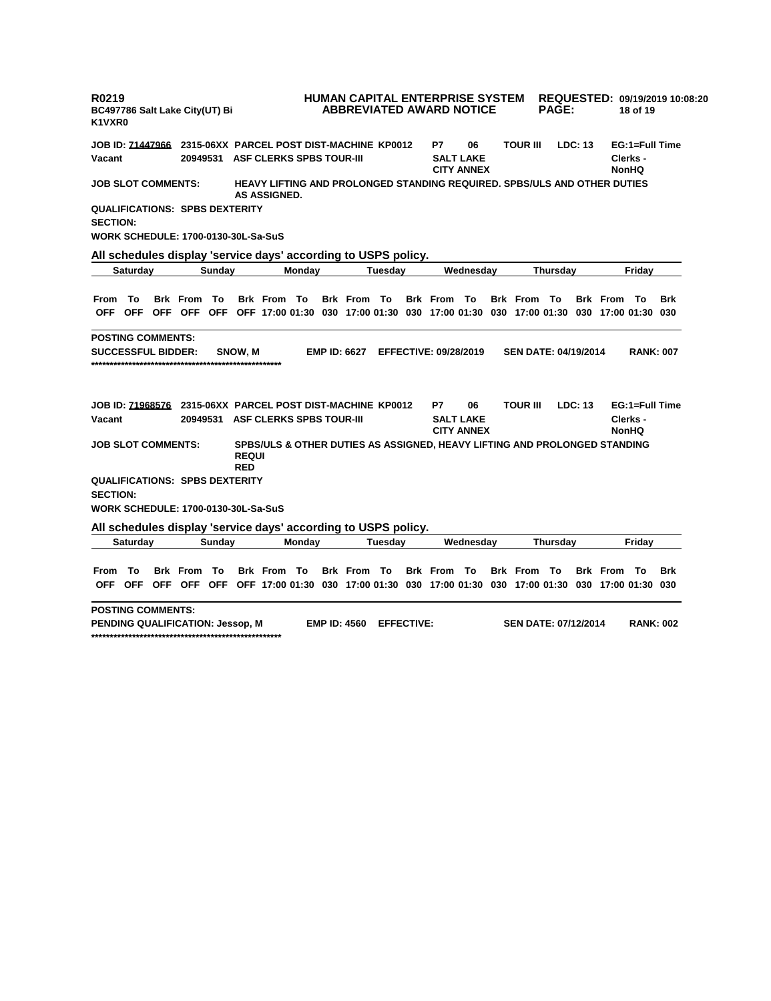| R0219<br>K1VXR0                                                                                                              |                 |  | BC497786 Salt Lake City(UT) Bi                                 |        |                            |                                                                              |        |  |                     |         | <b>HUMAN CAPITAL ENTERPRISE SYSTEM</b><br><b>ABBREVIATED AWARD NOTICE</b> |                                             |                 |                                                                                     | <b>PAGE:</b> |                |                     | 18 of 19                                   | REQUESTED: 09/19/2019 10:08:20 |  |
|------------------------------------------------------------------------------------------------------------------------------|-----------------|--|----------------------------------------------------------------|--------|----------------------------|------------------------------------------------------------------------------|--------|--|---------------------|---------|---------------------------------------------------------------------------|---------------------------------------------|-----------------|-------------------------------------------------------------------------------------|--------------|----------------|---------------------|--------------------------------------------|--------------------------------|--|
| <b>JOB ID: 71447966</b>                                                                                                      |                 |  | 2315-06XX PARCEL POST DIST-MACHINE KP0012                      |        |                            |                                                                              |        |  |                     |         | P7                                                                        | 06                                          |                 | <b>TOUR III</b>                                                                     |              | <b>LDC: 13</b> |                     | EG:1=Full Time                             |                                |  |
| Vacant                                                                                                                       |                 |  | 20949531                                                       |        |                            | <b>ASF CLERKS SPBS TOUR-III</b>                                              |        |  |                     |         |                                                                           | <b>SALT LAKE</b><br><b>CITY ANNEX</b>       |                 |                                                                                     |              |                |                     | Clerks -<br><b>NonHQ</b>                   |                                |  |
| HEAVY LIFTING AND PROLONGED STANDING REQUIRED. SPBS/ULS AND OTHER DUTIES<br><b>JOB SLOT COMMENTS:</b><br><b>AS ASSIGNED.</b> |                 |  |                                                                |        |                            |                                                                              |        |  |                     |         |                                                                           |                                             |                 |                                                                                     |              |                |                     |                                            |                                |  |
| <b>SECTION:</b>                                                                                                              |                 |  | <b>QUALIFICATIONS: SPBS DEXTERITY</b>                          |        |                            |                                                                              |        |  |                     |         |                                                                           |                                             |                 |                                                                                     |              |                |                     |                                            |                                |  |
|                                                                                                                              |                 |  | <b>WORK SCHEDULE: 1700-0130-30L-Sa-SuS</b>                     |        |                            |                                                                              |        |  |                     |         |                                                                           |                                             |                 |                                                                                     |              |                |                     |                                            |                                |  |
|                                                                                                                              |                 |  | All schedules display 'service days' according to USPS policy. |        |                            |                                                                              |        |  |                     |         |                                                                           |                                             |                 |                                                                                     |              |                |                     |                                            |                                |  |
|                                                                                                                              | Saturday        |  |                                                                | Sunday |                            |                                                                              | Monday |  |                     | Tuesday |                                                                           | Wednesday                                   |                 |                                                                                     | Thursday     |                | Friday              |                                            |                                |  |
| From                                                                                                                         | To              |  | <b>Brk</b> From                                                | То     |                            | <b>Brk From To</b>                                                           |        |  | <b>Brk From To</b>  |         | <b>Brk</b> From                                                           | — То                                        |                 | <b>Brk From To</b>                                                                  |              |                | <b>Brk</b> From     | - То                                       | <b>Brk</b>                     |  |
| 0FF -                                                                                                                        | <b>OFF</b>      |  | OFF OFF OFF                                                    |        |                            |                                                                              |        |  |                     |         |                                                                           |                                             |                 | OFF 17:00 01:30 030 17:00 01:30 030 17:00 01:30 030 17:00 01:30                     |              |                | 030 17:00 01:30 030 |                                            |                                |  |
| <b>POSTING COMMENTS:</b><br><b>SUCCESSFUL BIDDER:</b>                                                                        |                 |  |                                                                |        | SNOW. M                    |                                                                              |        |  | <b>EMP ID: 6627</b> |         | <b>EFFECTIVE: 09/28/2019</b>                                              |                                             |                 | <b>SEN DATE: 04/19/2014</b>                                                         |              |                |                     | <b>RANK: 007</b>                           |                                |  |
| JOB ID: 71968576<br>Vacant                                                                                                   |                 |  | 20949531                                                       |        |                            | 2315-06XX PARCEL POST DIST-MACHINE KP0012<br><b>ASF CLERKS SPBS TOUR-III</b> |        |  |                     |         | P7                                                                        | 06<br><b>SALT LAKE</b><br><b>CITY ANNEX</b> |                 | <b>TOUR III</b>                                                                     |              | LDC: 13        |                     | EG:1=Full Time<br>Clerks -<br><b>NonHQ</b> |                                |  |
| <b>JOB SLOT COMMENTS:</b>                                                                                                    |                 |  |                                                                |        | <b>REQUI</b><br><b>RED</b> |                                                                              |        |  |                     |         |                                                                           |                                             |                 | SPBS/ULS & OTHER DUTIES AS ASSIGNED, HEAVY LIFTING AND PROLONGED STANDING           |              |                |                     |                                            |                                |  |
|                                                                                                                              |                 |  | <b>QUALIFICATIONS: SPBS DEXTERITY</b>                          |        |                            |                                                                              |        |  |                     |         |                                                                           |                                             |                 |                                                                                     |              |                |                     |                                            |                                |  |
| <b>SECTION:</b>                                                                                                              |                 |  |                                                                |        |                            |                                                                              |        |  |                     |         |                                                                           |                                             |                 |                                                                                     |              |                |                     |                                            |                                |  |
|                                                                                                                              |                 |  | WORK SCHEDULE: 1700-0130-30L-Sa-SuS                            |        |                            |                                                                              |        |  |                     |         |                                                                           |                                             |                 |                                                                                     |              |                |                     |                                            |                                |  |
|                                                                                                                              |                 |  | All schedules display 'service days' according to USPS policy. |        |                            |                                                                              |        |  |                     |         |                                                                           |                                             |                 |                                                                                     |              |                |                     |                                            |                                |  |
|                                                                                                                              | <b>Saturday</b> |  |                                                                | Sunday |                            |                                                                              | Monday |  |                     | Tuesday |                                                                           | Wednesday                                   | <b>Thursday</b> |                                                                                     |              |                | Friday              |                                            |                                |  |
| From                                                                                                                         | To              |  | <b>Brk</b> From                                                | To     |                            | <b>Brk</b> From                                                              | То     |  | <b>Brk</b> From     | To      | <b>Brk</b> From                                                           | To                                          |                 | <b>Brk</b> From                                                                     | То           |                | <b>Brk</b> From     | То                                         | <b>Brk</b>                     |  |
|                                                                                                                              | <b>OFF OFF</b>  |  | OFF OFF OFF                                                    |        |                            |                                                                              |        |  |                     |         |                                                                           |                                             |                 | OFF 17:00 01:30 030 17:00 01:30 030 17:00 01:30 030 17:00 01:30 030 17:00 01:30 030 |              |                |                     |                                            |                                |  |

**POSTING COMMENTS:**

**PENDING QUALIFICATION: Jessop, M EMP ID: 4560 EFFECTIVE: SEN DATE: 07/12/2014 RANK: 002 \*\*\*\*\*\*\*\*\*\*\*\*\*\*\*\*\*\*\*\*\*\*\*\*\*\*\*\*\*\*\*\*\*\*\*\*\*\*\*\*\*\*\*\*\*\*\*\*\*\*\***